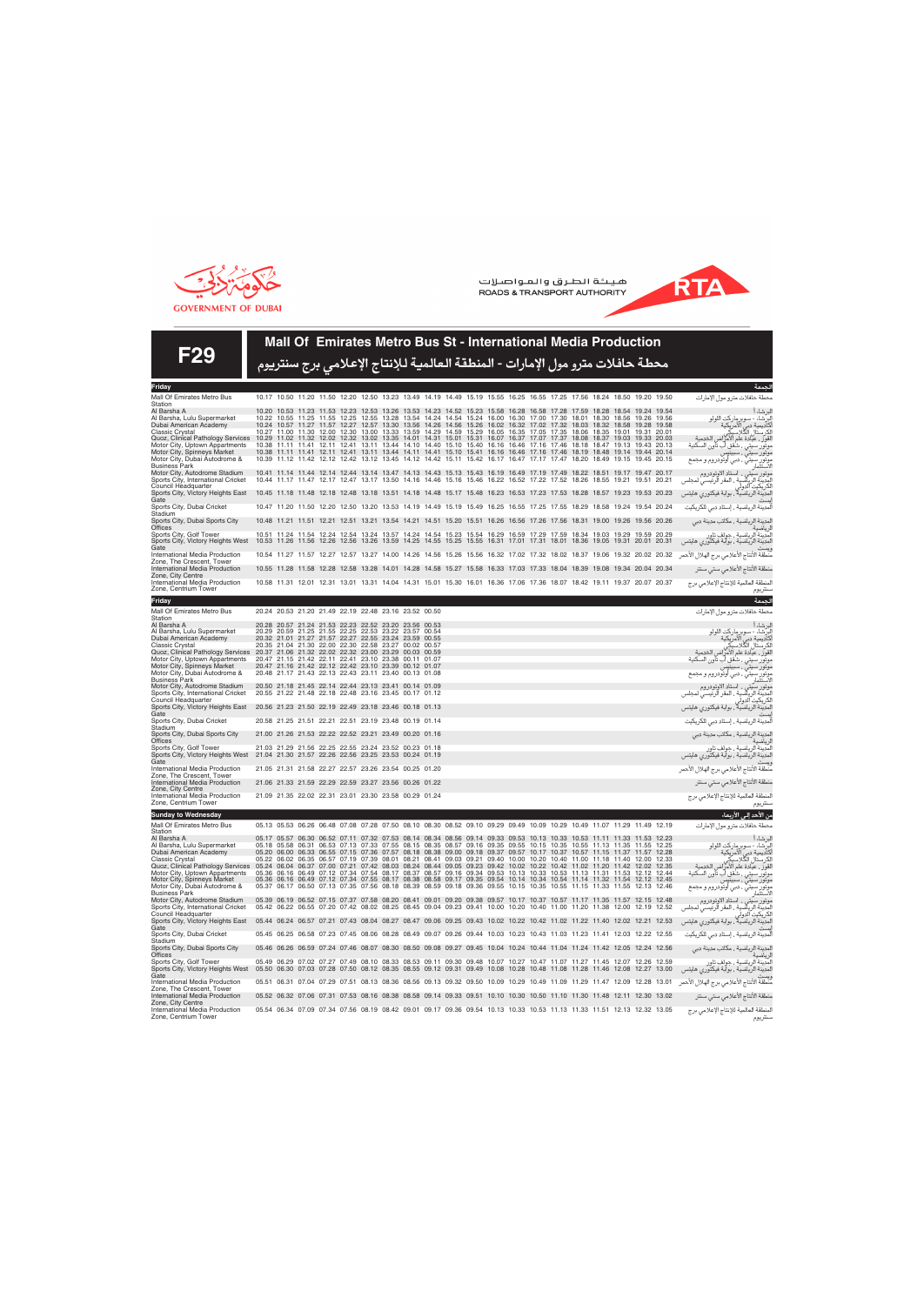



**F29**

**Friday**

| Friday                                                                                                                                                                                                                                                                                                                                                                                           |  |                                                                                                                                                                                                                                                                                                                                                                                                                                                                                                                                                                                                                                                                                                                                                                                                                                                                                                                                                                                                                      |  |  |  |  |  |  |  |                                                                                                                         | الجمعه                                                                                                                                                                                                                                       |
|--------------------------------------------------------------------------------------------------------------------------------------------------------------------------------------------------------------------------------------------------------------------------------------------------------------------------------------------------------------------------------------------------|--|----------------------------------------------------------------------------------------------------------------------------------------------------------------------------------------------------------------------------------------------------------------------------------------------------------------------------------------------------------------------------------------------------------------------------------------------------------------------------------------------------------------------------------------------------------------------------------------------------------------------------------------------------------------------------------------------------------------------------------------------------------------------------------------------------------------------------------------------------------------------------------------------------------------------------------------------------------------------------------------------------------------------|--|--|--|--|--|--|--|-------------------------------------------------------------------------------------------------------------------------|----------------------------------------------------------------------------------------------------------------------------------------------------------------------------------------------------------------------------------------------|
| Mall Of Emirates Metro Bus<br>Station                                                                                                                                                                                                                                                                                                                                                            |  | 10.17 10.50 11.20 11.50 12.20 12.50 13.23 13.49 14.19 14.49 15.19 15.55 16.25 16.55 17.25 17.56 18.24 18.50 19.20 19.50                                                                                                                                                                                                                                                                                                                                                                                                                                                                                                                                                                                                                                                                                                                                                                                                                                                                                              |  |  |  |  |  |  |  |                                                                                                                         | محطة حافلات مترو مول الإمارات                                                                                                                                                                                                                |
| Al Barsha A<br>Al Barsha, Lulu Supermarket<br>Dubai American Academy<br><b>Classic Crystal</b><br>Quoz, Clinical Pathology Services<br>Motor City, Uptown Appartments<br>Motor City, Spinneys Market<br>Motor City, Dubai Autodrome &                                                                                                                                                            |  | 10.20 10.53 11.23 11.53 12.23 12.53 13.26 13.53 14.23 14.52 15.23 15.58 16.28 16.58 17.28 17.59 18.28 18.54 19.24 19.54<br>10.22 10.55 11.25 11.55 12.25 12.55 13.28 13.54 14.24 14.54 15.24 16.00 16.30 17.00 17.30 18.01 18.30 18.56 19.26 19.56<br>10.24 10.57 11.27 11.57 12.27 12.57 13.30 13.56 14.26 14.56 15.26 16.02 16.32 17.02 17.32 18.03 18.32 18.58 19.28 19.58<br>10.27 11.00 11.30 12.00 12.30 13.00 13.33 13.59 14.29 14.59 15.29 16.05 16.35 17.05 17.35 18.06 18.35 19.01 19.31 20.01<br>10.29 11.02 11.32 12.02 12.32 13.02 13.35 14.01 14.31 15.01 15.31 16.07 16.37 17.07 17.37 18.08 18.37 19.03 19.33 20.03<br>10.38 11.11 11.41 12.11 12.41 13.11 13.44 14.10 14.40 15.10 15.40 16.16 16.46 17.16 17.46 18.18 18.47 19.13 19.43 20.13<br>10.38 11.11 11.41 12.11 12.41 13.11 13.44 14.11 14.41 15.10 15.41 16.16 16.46 17.16 17.46 18.19 18.48 19.14 19.44 20.14<br>10.39 11.12 11.42 12.12 12.42 13.12 13.45 14.12 14.42 15.11 15.42 16.17 16.47 17.17 17.47 18.20 18.49 19.15 19.45 20.15 |  |  |  |  |  |  |  |                                                                                                                         | البرشاء أ<br>إلبرشاء - سوبرماركت اللولو<br>.<br>أكاديمية دبي الأمريكية<br>الكرستال الكلاسيكي<br>لقور ، عيادة علم الأمراض الخدمية<br>موتور سيتي ، شقق أب تأون السكنية<br>موتور سيتي ، سبينيس<br>مونور سيني ، دبي اونودروم و مجمع<br>الاستثمار |
| <b>Business Park</b><br>Motor City, Autodrome Stadium<br>Sports City, International Cricket<br>Council Headquarter<br>Sports City, Victory Heights East                                                                                                                                                                                                                                          |  | 10.41 11.14 11.44 12.14 12.44 13.14 13.47 14.13 14.43 15.13 15.43 16.19 16.49 17.19 17.49 18.22 18.51 19.17 19.47 20.17<br>10.44 11.17 11.47 12.17 12.47 13.17 13.50 14.16 14.46 15.16 15.46 16.22 16.52 17.52 17.52 18.26 18.55 19.21 19.51 20.21<br>10.45 11.18 11.48 12.18 12.48 13.18 13.51 14.18 14.48 15.17 15.48 16.23 16.53 17.23 17.53 18.28 18.57 19.23 19.53 20.23                                                                                                                                                                                                                                                                                                                                                                                                                                                                                                                                                                                                                                        |  |  |  |  |  |  |  |                                                                                                                         | موتور سيتى ، استاد الاوتودروم<br>المدينة الرياضية ، المقر الرئيسي لمجلس<br>الكر يكيت الدول<br>لمدينة الرياضية ، بوابة فيكتوري هايتس                                                                                                          |
| Gate<br>Sports City, Dubai Cricket                                                                                                                                                                                                                                                                                                                                                               |  | 10.47 11.20 11.50 12.20 12.50 13.20 13.53 14.19 14.49 15.19 15.49 16.25 16.55 17.25 17.55 18.29 18.58 19.24 19.54 20.24                                                                                                                                                                                                                                                                                                                                                                                                                                                                                                                                                                                                                                                                                                                                                                                                                                                                                              |  |  |  |  |  |  |  |                                                                                                                         | لمدينة الرياضية ، إستاد دبي للكريكيت                                                                                                                                                                                                         |
| Stadium<br>Sports City, Dubai Sports City                                                                                                                                                                                                                                                                                                                                                        |  | 10.48 11.21 11.51 12.21 12.51 13.21 13.54 14.21 14.51 15.20 15.51 16.26 16.56 17.26 17.56 18.31 19.00 19.26 19.56 20.26                                                                                                                                                                                                                                                                                                                                                                                                                                                                                                                                                                                                                                                                                                                                                                                                                                                                                              |  |  |  |  |  |  |  |                                                                                                                         | لمدينة الرياضية ، مكاتب مدينة دبي                                                                                                                                                                                                            |
| Offices<br>Sports City, Golf Tower<br>Sports City, Victory Heights West<br>Gate                                                                                                                                                                                                                                                                                                                  |  | 10.51 11.24 11.54 12.24 12.54 13.24 13.57 14.24 14.54 15.23 15.54 16.29 16.59 17.29 17.59 18.34 19.03 19.29 19.59 20.29<br>10.53 11.26 11.56 12.26 12.56 13.26 13.59 14.25 14.55 15.25 15.55 16.31 17.01 17.31 18.01 18.36 19.05 19.31 20.01 20.31                                                                                                                                                                                                                                                                                                                                                                                                                                                                                                                                                                                                                                                                                                                                                                   |  |  |  |  |  |  |  |                                                                                                                         | لرياضيا<br>لمَدينة الرياضية ، جولف تاور<br>لمدينة الرياضية ، بوابة فيكتوري هايتس                                                                                                                                                             |
| International Media Production<br>Zone, The Crescent, Tower                                                                                                                                                                                                                                                                                                                                      |  |                                                                                                                                                                                                                                                                                                                                                                                                                                                                                                                                                                                                                                                                                                                                                                                                                                                                                                                                                                                                                      |  |  |  |  |  |  |  | 10.54 11.27 11.57 12.27 12.57 13.27 14.00 14.26 14.56 15.26 15.56 16.32 17.02 17.32 18.02 18.37 19.06 19.32 20.02 20.32 | منطقة الأنتاج الأعلامي برج الهلال الأحمر                                                                                                                                                                                                     |
| International Media Production<br>Zone, City Centre                                                                                                                                                                                                                                                                                                                                              |  | 10.55 11.28 11.58 12.28 12.58 13.28 14.01 14.28 14.58 15.27 15.58 16.33 17.03 17.33 18.04 18.39 19.08 19.34 20.04 20.34                                                                                                                                                                                                                                                                                                                                                                                                                                                                                                                                                                                                                                                                                                                                                                                                                                                                                              |  |  |  |  |  |  |  |                                                                                                                         | منطقة الأنتاج الأعلامي ستي سنتر                                                                                                                                                                                                              |
| International Media Production<br>Zone, Centrium Tower                                                                                                                                                                                                                                                                                                                                           |  | 10.58 11.31 12.01 12.31 13.01 13.31 14.04 14.31 15.01 15.30 16.01 16.36 17.06 17.36 18.07 18.42 19.11 19.37 20.07 20.37                                                                                                                                                                                                                                                                                                                                                                                                                                                                                                                                                                                                                                                                                                                                                                                                                                                                                              |  |  |  |  |  |  |  |                                                                                                                         | المنطقة العالمية للإنتاج الإعلامي برج<br>سنتريوم                                                                                                                                                                                             |
| Friday                                                                                                                                                                                                                                                                                                                                                                                           |  |                                                                                                                                                                                                                                                                                                                                                                                                                                                                                                                                                                                                                                                                                                                                                                                                                                                                                                                                                                                                                      |  |  |  |  |  |  |  |                                                                                                                         | الجمعة                                                                                                                                                                                                                                       |
| Mall Of Emirates Metro Bus<br>Station                                                                                                                                                                                                                                                                                                                                                            |  | 20.24 20.53 21.20 21.49 22.19 22.48 23.16 23.52 00.50<br>20.28 20.57 21.24 21.53 22.23 22.52 23.20 23.56 00.53                                                                                                                                                                                                                                                                                                                                                                                                                                                                                                                                                                                                                                                                                                                                                                                                                                                                                                       |  |  |  |  |  |  |  |                                                                                                                         | محطة حافلات مترو مول الإمارات                                                                                                                                                                                                                |
| Al Barsha A<br>Al Barsha, Lulu Supermarket<br>Dubai American Academy<br><b>Classic Crystal</b><br>Quoz, Clinical Pathology Services 20.37 21.06 21.32 22.02 22.32 23.00 23.29 00.03 00.59<br>Motor City, Uptown Appartments<br>Motor City, Spinneys Market                                                                                                                                       |  | 20.29 20.59 21.25 21.55 22.25 22.53 23.22 23.57 00.54<br>20.32 21.01 21.27 21.57 22.27 22.55 23.24 23.59 00.55<br>20.35 21.04 21.30 22.00 22.30 22.58 23.27 00.02 00.57<br>20.47 21.15 21.42 22.11 22.41 23.10 23.38 00.11 01.07<br>20.47 21.16 21.42 22.12 22.42 23.10 23.39 00.12 01.07                                                                                                                                                                                                                                                                                                                                                                                                                                                                                                                                                                                                                                                                                                                            |  |  |  |  |  |  |  |                                                                                                                         | لبر شاء أ<br>البرشاء - سوبرماركت اللولو<br>.<br>أكاديمية دبي الأمريكية<br>الكرستال الكلاسيكي<br>القورّ ، عيادة علم الأمراض الخدمية<br>موتور سيتي ، شقق أب تأون السكنية<br>موتور سيتي ، سبيسيس                                                |
| Motor City, Dubai Autodrome &<br><b>Business Park</b>                                                                                                                                                                                                                                                                                                                                            |  | 20.48 21.17 21.43 22.13 22.43 23.11 23.40 00.13 01.08                                                                                                                                                                                                                                                                                                                                                                                                                                                                                                                                                                                                                                                                                                                                                                                                                                                                                                                                                                |  |  |  |  |  |  |  |                                                                                                                         | .<br>موتور سيتي ، دبي أوتودروم و مجمع<br>الأستثمار                                                                                                                                                                                           |
| Motor City, Autodrome Stadium<br>Sports City, International Cricket<br>Council Headquarter                                                                                                                                                                                                                                                                                                       |  | 20.50 21.18 21.45 22.14 22.44 23.13 23.41 00.14 01.09<br>20.55 21.22 21.48 22.18 22.48 23.16 23.45 00.17 01.12                                                                                                                                                                                                                                                                                                                                                                                                                                                                                                                                                                                                                                                                                                                                                                                                                                                                                                       |  |  |  |  |  |  |  |                                                                                                                         | موتور سيتى ، استاد الاوتودروم<br>.<br>المدينة الرياضية ، المقر الرئيسي لمجلس<br>الكريكيت الدولر                                                                                                                                              |
| Sports City, Victory Heights East<br>Gate                                                                                                                                                                                                                                                                                                                                                        |  | 20.56 21.23 21.50 22.19 22.49 23.18 23.46 00.18 01.13                                                                                                                                                                                                                                                                                                                                                                                                                                                                                                                                                                                                                                                                                                                                                                                                                                                                                                                                                                |  |  |  |  |  |  |  |                                                                                                                         | المدينة الرياضية , بوابة فيكتوري هايتس                                                                                                                                                                                                       |
| Sports City, Dubai Cricket<br>Stadium<br>Sports City, Dubai Sports City                                                                                                                                                                                                                                                                                                                          |  | 20.58 21.25 21.51 22.21 22.51 23.19 23.48 00.19 01.14<br>21.00 21.26 21.53 22.22 22.52 23.21 23.49 00.20 01.16                                                                                                                                                                                                                                                                                                                                                                                                                                                                                                                                                                                                                                                                                                                                                                                                                                                                                                       |  |  |  |  |  |  |  |                                                                                                                         | لمدينة الرياضية ، إستاد دبي للكريكيت                                                                                                                                                                                                         |
| <b>Offices</b><br>Sports City, Golf Tower                                                                                                                                                                                                                                                                                                                                                        |  | 21.03 21.29 21.56 22.25 22.55 23.24 23.52 00.23 01.18                                                                                                                                                                                                                                                                                                                                                                                                                                                                                                                                                                                                                                                                                                                                                                                                                                                                                                                                                                |  |  |  |  |  |  |  |                                                                                                                         | لمدينة الرياضية ، مكاتب مدينة دبي<br>الرياضية<br>لمدينة الرياضية ، جولف تاور                                                                                                                                                                 |
| Sports City, Victory Heights West 21.04 21.30 21.57 22.26 22.56 23.25 23.53 00.24 01.19<br>Gate                                                                                                                                                                                                                                                                                                  |  |                                                                                                                                                                                                                                                                                                                                                                                                                                                                                                                                                                                                                                                                                                                                                                                                                                                                                                                                                                                                                      |  |  |  |  |  |  |  |                                                                                                                         | المدينة الرياضية ، بوابة فيكتوري هايتس                                                                                                                                                                                                       |
| International Media Production<br>Zone, The Crescent, Tower                                                                                                                                                                                                                                                                                                                                      |  | 21.05 21.31 21.58 22.27 22.57 23.26 23.54 00.25 01.20                                                                                                                                                                                                                                                                                                                                                                                                                                                                                                                                                                                                                                                                                                                                                                                                                                                                                                                                                                |  |  |  |  |  |  |  |                                                                                                                         | ريسة<br>منطقة الأنتاج الأعلامي برج الهلال الأحمر                                                                                                                                                                                             |
| International Media Production<br>Zone, City Centre                                                                                                                                                                                                                                                                                                                                              |  | 21.06 21.33 21.59 22.29 22.59 23.27 23.56 00.26 01.22                                                                                                                                                                                                                                                                                                                                                                                                                                                                                                                                                                                                                                                                                                                                                                                                                                                                                                                                                                |  |  |  |  |  |  |  |                                                                                                                         | منطقة الأنتاج الأعلامي ستي سنتر                                                                                                                                                                                                              |
| International Media Production<br>Zone, Centrium Tower                                                                                                                                                                                                                                                                                                                                           |  | 21.09 21.35 22.02 22.31 23.01 23.30 23.58 00.29 01.24                                                                                                                                                                                                                                                                                                                                                                                                                                                                                                                                                                                                                                                                                                                                                                                                                                                                                                                                                                |  |  |  |  |  |  |  |                                                                                                                         | المنطقة العالمية للإنتاج الإعلامي برج<br>سنتريوم                                                                                                                                                                                             |
| <b>Sunday to Wednesday</b><br>Mall Of Emirates Metro Bus                                                                                                                                                                                                                                                                                                                                         |  | 05.13 05.53 06.26 06.48 07.08 07.28 07.50 08.10 08.30 08.52 09.10 09.29 09.49 10.09 10.29 10.49 11.07 11.29 11.49 12.19                                                                                                                                                                                                                                                                                                                                                                                                                                                                                                                                                                                                                                                                                                                                                                                                                                                                                              |  |  |  |  |  |  |  |                                                                                                                         | من الأحد إلى الأربعاء<br>محطة حافلات مترو مول الإمارات                                                                                                                                                                                       |
| Station<br>Al Barsha A<br>Al Barsha, Lulu Supermarket<br>Dubai American Academy<br><b>Classic Crystal</b><br>Quoz, Clinical Pathology Services 05.24 06.04 06.37 07.00 07.21 07.42 08.03 08.24 08.44 09.05 09.23 09.42 10.02 10.22 10.42 11.02 11.20 11.42 12.02 12.35<br>Motor City, Uptown Appartments<br>Motor City, Spinneys Market<br>Motor City, Dubai Autodrome &<br><b>Business Park</b> |  | 05.17 05.57 06.30 06.52 07.11 07.32 07.53 08.14 08.34 08.56 09.14 09.33 09.53 10.13 10.33 10.53 11.11 11.33 11.53 12.23<br>05.18 05.58 06.31 06.53 07.13 07.33 07.55 08.15 08.35 08.57 09.16 09.35 09.55 10.15 10.35 10.55 11.13 11.35 11.55 12.25<br>05.20 06.00 06.33 06.55 07.15 07.36 07.57 08.18 08.38 09.00 09.18 09.37 09.57 10.17 10.37 10.57 11.15 11.37 11.57 12.28<br>05.22 06.02 06.35 06.57 07.19 07.39 08.01 08.21 08.41 09.03 09.21 09.40 10.00 10.20 10.40 11.00 11.18 11.40 12.00 12.33<br>05.36 06.16 06.49 07.12 07.34 07.54 08.17 08.37 08.57 09.16 09.34 09.53 10.13 10.33 10.53 11.13 11.31 11.53 12.12 12.44<br>05.36 06.16 06.49 07.12 07.34 07.55 08.17 08.38 08.58 09.17 09.35 09.54 10.14 10.34 10.54 11.14 11.32 11.54 12.12 12.45<br>05.37 06.17 06.50 07.13 07.35 07.56 08.18 08.39 08.59 09.18 09.36 09.55 10.15 10.35 10.55 11.15 11.33 11.55 12.13 12.46                                                                                                                            |  |  |  |  |  |  |  |                                                                                                                         | لبرشاء أ<br>سرسد.<br>لكرنساء - سوبر ماركت اللولو<br>لكرستال الكلاسيكي<br>لقوز ، عبادة علم الأمراض الخدمية.<br>موتور سيتي ، شقق اب تاون السكنية<br>موىور سيىي ، سېيىپس<br>موتور سيتيّ ، دبي أوتودروم و مجمع<br>الاستثمار                      |
| Motor City, Autodrome Stadium<br>Sports City, International Cricket<br>Council Headquarter                                                                                                                                                                                                                                                                                                       |  | 05.39 06.19 06.52 07.15 07.37 07.58 08.20 08.41 09.01 09.20 09.38 09.57 10.17 10.37 10.57 11.17 11.35 11.57 12.15 12.48<br>05.42 06.22 06.55 07.20 07.42 08.02 08.25 08.45 09.04 09.23 09.41 10.00 10.20 10.40 11.00 11.20 11.38 12.00 12.19 12.52                                                                                                                                                                                                                                                                                                                                                                                                                                                                                                                                                                                                                                                                                                                                                                   |  |  |  |  |  |  |  |                                                                                                                         | موتور سيتي ،  استاد الاوتودروم<br>لمدينة الرياضية ، المقر الرئيسي<br>لمجلس<br>لکر یکیت الدولہ                                                                                                                                                |
| Sports City, Victory Heights East<br>Gate                                                                                                                                                                                                                                                                                                                                                        |  | 05.44 06.24 06.57 07.21 07.43 08.04 08.27 08.47 09.06 09.25 09.43 10.02 10.22 10.42 11.02 11.22 11.40 12.02 12.21 12.53                                                                                                                                                                                                                                                                                                                                                                                                                                                                                                                                                                                                                                                                                                                                                                                                                                                                                              |  |  |  |  |  |  |  |                                                                                                                         | المدينة الرياضية ، بوابة فيكتوري هايتس                                                                                                                                                                                                       |
| Sports City, Dubai Cricket<br>Stadium<br>Sports City, Dubai Sports City                                                                                                                                                                                                                                                                                                                          |  | 05.45 06.25 06.58 07.23 07.45 08.06 08.28 08.49 09.07 09.26 09.44 10.03 10.23 10.43 11.03 11.23 11.41 12.03 12.22 12.55<br>05.46 06.26 06.59 07.24 07.46 08.07 08.30 08.50 09.08 09.27 09.45 10.04 10.24 10.44 11.04 11.24 11.42 12.05 12.24 12.56                                                                                                                                                                                                                                                                                                                                                                                                                                                                                                                                                                                                                                                                                                                                                                   |  |  |  |  |  |  |  |                                                                                                                         | لمدينة الرياضية ، إستاد دبي للكريكيت<br>لمدينة الرياضية ، مكاتب مدينة دبي                                                                                                                                                                    |
| <b>Offices</b><br>Sports City, Golf Tower                                                                                                                                                                                                                                                                                                                                                        |  | 05.49 06.29 07.02 07.27 07.49 08.10 08.33 08.53 09.11 09.30 09.48 10.07 10.27 10.47 11.07 11.27 11.45 12.07 12.26 12.59                                                                                                                                                                                                                                                                                                                                                                                                                                                                                                                                                                                                                                                                                                                                                                                                                                                                                              |  |  |  |  |  |  |  |                                                                                                                         | لمدينة الرياضية ، جولف تاور                                                                                                                                                                                                                  |
| Sports City, Victory Heights West<br>Gate                                                                                                                                                                                                                                                                                                                                                        |  | 05.50 06.30 07.03 07.28 07.50 08.12 08.35 08.55 09.12 09.31 09.49 10.08 10.28 10.48 11.08 11.28 11.46 12.08 12.27 13.00                                                                                                                                                                                                                                                                                                                                                                                                                                                                                                                                                                                                                                                                                                                                                                                                                                                                                              |  |  |  |  |  |  |  |                                                                                                                         | المدينة الرياضية ، بوابة فيكتوري هايتس                                                                                                                                                                                                       |
| International Media Production<br>Zone, The Crescent, Tower<br>International Media Production                                                                                                                                                                                                                                                                                                    |  | 05.51 06.31 07.04 07.29 07.51 08.13 08.36 08.56 09.13 09.32 09.50 10.09 10.29 10.49 11.09 11.29 11.47 12.09 12.28 13.01<br>05.52 06.32 07.06 07.31 07.53 08.16 08.38 08.58 09.14 09.33 09.51 10.10 10.30 10.50 11.10 11.30 11.48 12.11 12.30 13.02                                                                                                                                                                                                                                                                                                                                                                                                                                                                                                                                                                                                                                                                                                                                                                   |  |  |  |  |  |  |  |                                                                                                                         | .<br>منطقة الأنتاج الأعلامي برج الهلال الأحمر<br>منطقة الأنتاج الأعلامي ستي سنتر                                                                                                                                                             |
| Zone, City Centre<br>International Media Production<br>Zone, Centrium Tower                                                                                                                                                                                                                                                                                                                      |  | 05.54 06.34 07.09 07.34 07.56 08.19 08.42 09.01 09.17 09.36 09.54 10.13 10.33 10.53 11.13 11.33 11.51 12.13 12.32 13.05                                                                                                                                                                                                                                                                                                                                                                                                                                                                                                                                                                                                                                                                                                                                                                                                                                                                                              |  |  |  |  |  |  |  |                                                                                                                         | لمنطقة العالمية للإنتاج الإعلامي برج<br>سنتريوم                                                                                                                                                                                              |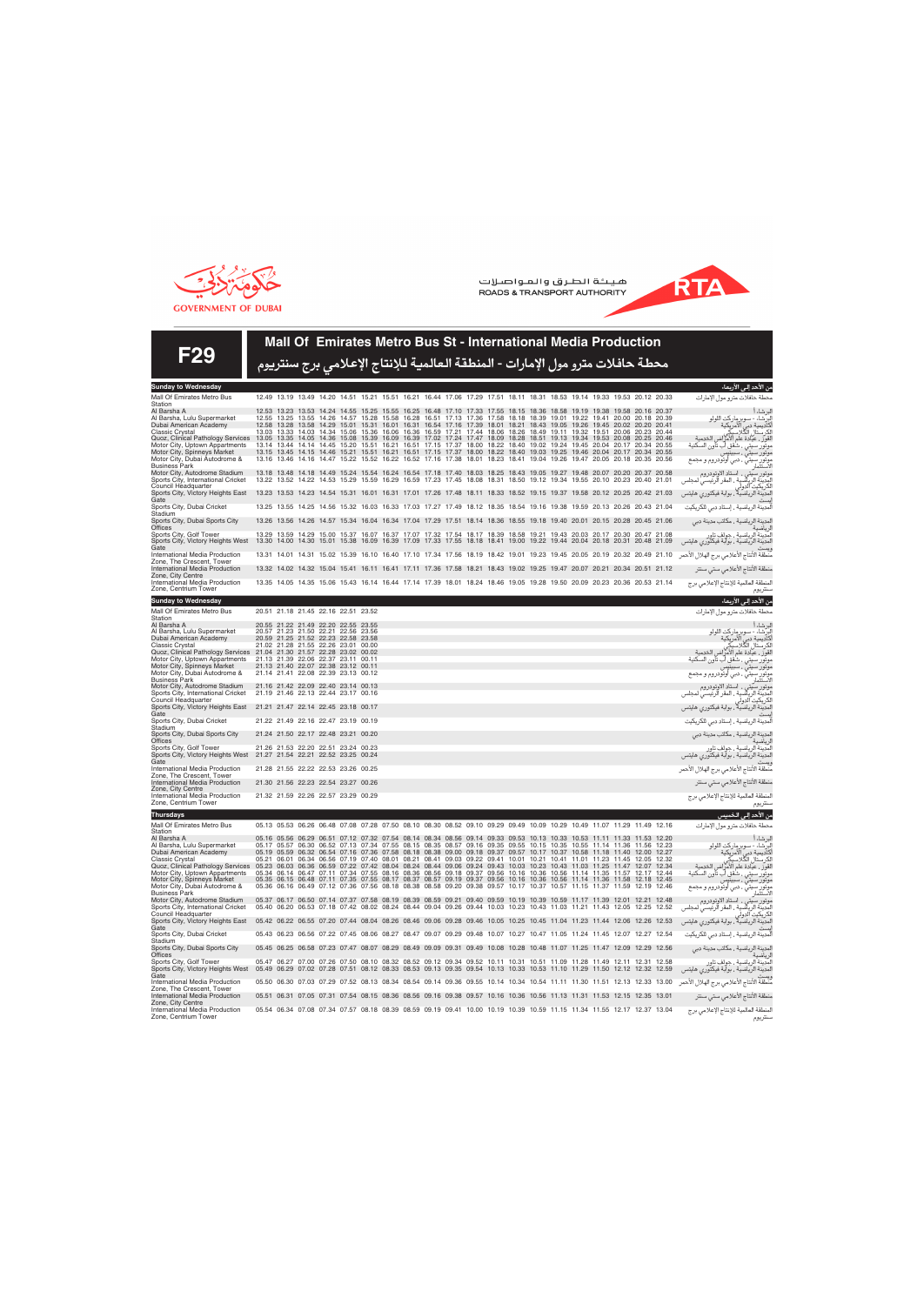





| Sunday to Wednesday                                                                                                                                                          |  |  |                                                                                                                                                                                                                                                    |  |  |  |  |  |  |  | من الاحد إلى الاربعاء                                                      |
|------------------------------------------------------------------------------------------------------------------------------------------------------------------------------|--|--|----------------------------------------------------------------------------------------------------------------------------------------------------------------------------------------------------------------------------------------------------|--|--|--|--|--|--|--|----------------------------------------------------------------------------|
| Mall Of Emirates Metro Bus                                                                                                                                                   |  |  | 12.49 13.19 13.49 14.20 14.51 15.21 15.51 16.21 16.44 17.06 17.29 17.51 18.11 18.31 18.53 19.14 19.33 19.53 20.12 20.33                                                                                                                            |  |  |  |  |  |  |  | محطة حافلات مترو مول الإمارات                                              |
| Station<br>Al Barsha A                                                                                                                                                       |  |  | 12.53 13.23 13.53 14.24 14.55 15.25 15.55 16.25 16.48 17.10 17.33 17.55 18.15 18.36 18.58 19.19 19.38 19.58 20.16 20.37                                                                                                                            |  |  |  |  |  |  |  | لبرشاء أ                                                                   |
| Al Barsha, Lulu Supermarket<br>Dubai American Academy                                                                                                                        |  |  | 12.55 13.25 13.55 14.26 14.57 15.28 15.58 16.28 16.51 17.13 17.36 17.58 18.18 18.39 19.01 19.22 19.41 20.00 20.18 20.39<br>12.58 13.28 13.58 14.29 15.01 15.31 16.01 16.31 16.54 17.16 17.39 18.01 18.21 18.43 19.05 19.26 19.45 20.02 20.20 20.41 |  |  |  |  |  |  |  | اِلبِرِّشَاء - سوبرِماركت اللولو                                           |
| <b>Classic Crystal</b>                                                                                                                                                       |  |  | 13.03 13.33 14.03 14.34 15.06 15.36 16.06 16.36 16.59 17.21 17.44 18.06 18.26 18.49 19.11 19.32 19.51 20.06 20.23 20.44                                                                                                                            |  |  |  |  |  |  |  | أكاديمية دبي الأمريكية<br>الكرستال الكلاسيكي                               |
| Quoz, Clinical Pathology Services<br>Motor City, Uptown Appartments                                                                                                          |  |  | 13.05 13.35 14.05 14.36 15.08 15.39 16.09 16.39 17.02 17.24 17.47 18.09 18.28 18.51 19.13 19.34 19.53 20.08 20.25 20.46<br>13.14 13.44 14.14 14.45 15.20 15.51 16.21 16.51 17.15 17.37 18.00 18.22 18.40 19.02 19.24 19.45 20.04 20.17 20.34 20.55 |  |  |  |  |  |  |  | لقور ، عيادة علم الأمراض الخدمية                                           |
| Motor City, Spinneys Market                                                                                                                                                  |  |  | 13.15 13.45 14.15 14.46 15.21 15.51 16.21 16.51 17.15 17.37 18.00 18.22 18.40 19.03 19.25 19.46 20.04 20.17 20.34 20.55                                                                                                                            |  |  |  |  |  |  |  | موتور سيتي ، شقق أب تاون السكنية<br>موتور سيتيّ ، سبينيس                   |
| Motor City, Dubai Autodrome &<br><b>Business Park</b>                                                                                                                        |  |  | 13.16 13.46 14.16 14.47 15.22 15.52 16.22 16.52 17.16 17.38 18.01 18.23 18.41 19.04 19.26 19.47 20.05 20.18 20.35 20.56                                                                                                                            |  |  |  |  |  |  |  | موتور سيتيّ ، دبي أوتودروم و مجمع<br>الاستثمار                             |
| Motor City, Autodrome Stadium                                                                                                                                                |  |  | 13.18 13.48 14.18 14.49 15.24 15.54 16.24 16.54 17.18 17.40 18.03 18.25 18.43 19.05 19.27 19.48 20.07 20.20 20.37 20.58                                                                                                                            |  |  |  |  |  |  |  | موتور سَيّتي ، استاد الاوتودروم                                            |
| Sports City, International Cricket<br>Council Headquarter                                                                                                                    |  |  | 13.22 13.52 14.22 14.53 15.29 15.59 16.29 16.59 17.23 17.45 18.08 18.31 18.50 19.12 19.34 19.55 20.10 20.23 20.40 21.01                                                                                                                            |  |  |  |  |  |  |  | لمِّديِّنَة الرياضية ، المقر الرئيسي لمجلس<br>الكريكيت آلدولي              |
| Sports City, Victory Heights East                                                                                                                                            |  |  | 13.23 13.53 14.23 14.54 15.31 16.01 16.31 17.01 17.26 17.48 18.11 18.33 18.52 19.15 19.37 19.58 20.12 20.25 20.42 21.03                                                                                                                            |  |  |  |  |  |  |  | لمدينة الرياضية ، بوابة فيكتوري هايتس                                      |
| Gate<br>Sports City, Dubai Cricket                                                                                                                                           |  |  | 13.25 13.55 14.25 14.56 15.32 16.03 16.33 17.03 17.27 17.49 18.12 18.35 18.54 19.16 19.38 19.59 20.13 20.26 20.43 21.04                                                                                                                            |  |  |  |  |  |  |  | لمدينة الرياضية ، إستاد دبي للكريكيت                                       |
| Stadium                                                                                                                                                                      |  |  |                                                                                                                                                                                                                                                    |  |  |  |  |  |  |  |                                                                            |
| Sports City, Dubai Sports City<br><b>Offices</b>                                                                                                                             |  |  | 13.26 13.56 14.26 14.57 15.34 16.04 16.34 17.04 17.29 17.51 18.14 18.36 18.55 19.18 19.40 20.01 20.15 20.28 20.45 21.06                                                                                                                            |  |  |  |  |  |  |  | لمدينة الرياضية , مكاتب مدينة دبي<br>لر ياضية                              |
| Sports City, Golf Tower                                                                                                                                                      |  |  | 13.29 13.59 14.29 15.00 15.37 16.07 16.37 17.07 17.32 17.54 18.17 18.39 18.58 19.21 19.43 20.03 20.17 20.30 20.47 21.08                                                                                                                            |  |  |  |  |  |  |  | لمدينة الرياضية ، جولف تاور                                                |
| Sports City, Victory Heights West<br>Gate                                                                                                                                    |  |  | 13.30 14.00 14.30 15.01 15.38 16.09 16.39 17.09 17.33 17.55 18.18 18.41 19.00 19.22 19.44 20.04 20.18 20.31 20.48 21.09                                                                                                                            |  |  |  |  |  |  |  | لمدينة الرياضية ، بوابة فيكتوري هايتس                                      |
| International Media Production<br>Zone, The Crescent, Tower                                                                                                                  |  |  | 13.31 14.01 14.31 15.02 15.39 16.10 16.40 17.10 17.34 17.56 18.19 18.42 19.01 19.23 19.45 20.05 20.19 20.32 20.49 21.10                                                                                                                            |  |  |  |  |  |  |  | منطقة الأنتاج الأعلامي برج الهلال الأحمر                                   |
| International Media Production                                                                                                                                               |  |  | 13.32 14.02 14.32 15.04 15.41 16.11 16.41 17.11 17.36 17.58 18.21 18.43 19.02 19.25 19.47 20.07 20.21 20.34 20.51 21.12                                                                                                                            |  |  |  |  |  |  |  | منطقة الأنتاج الأعلامي ستي سنتر                                            |
| Zone, City Centre<br>International Media Production                                                                                                                          |  |  | 13.35 14.05 14.35 15.06 15.43 16.14 16.44 17.14 17.39 18.01 18.24 18.46 19.05 19.28 19.50 20.09 20.23 20.36 20.53 21.14                                                                                                                            |  |  |  |  |  |  |  | المنطقة العالمية للإنتاج الإعلامي برج                                      |
| Zone, Centrium Tower                                                                                                                                                         |  |  |                                                                                                                                                                                                                                                    |  |  |  |  |  |  |  | سنتريوم                                                                    |
| <b>Sunday to Wednesday</b>                                                                                                                                                   |  |  |                                                                                                                                                                                                                                                    |  |  |  |  |  |  |  | من الأحد إل <i>ى</i> الأربعاء                                              |
| Mall Of Emirates Metro Bus                                                                                                                                                   |  |  | 20.51 21.18 21.45 22.16 22.51 23.52                                                                                                                                                                                                                |  |  |  |  |  |  |  | محطة حافلات مترو مول الإمارات                                              |
| Station<br>Al Barsha A                                                                                                                                                       |  |  | 20.55 21.22 21.49 22.20 22.55 23.55                                                                                                                                                                                                                |  |  |  |  |  |  |  | لبرشاء أ                                                                   |
| Al Barsha, Lulu Supermarket                                                                                                                                                  |  |  | 20.57 21.23 21.50 22.21 22.56 23.56                                                                                                                                                                                                                |  |  |  |  |  |  |  | .<br>البرشاء - سوبرماركت اللولو                                            |
| Dubai American Academy<br>Classic Crystal                                                                                                                                    |  |  | 20.59 21.25 21.52 22.23 22.58 23.58<br>21.02 21.28 21.55 22.26 23.01 00.00                                                                                                                                                                         |  |  |  |  |  |  |  | .<br>كاديمية دبي الأمريكية<br>لكرستال الكلاسيكي                            |
| Quoz, Clinical Pathology Services 21.04 21.30 21.57 22.28 23.02 00.02                                                                                                        |  |  |                                                                                                                                                                                                                                                    |  |  |  |  |  |  |  | لقورٌ ، عيادة علم الأمرِّاض الخدمية                                        |
| Motor City, Uptown Appartments<br>Motor City, Spinneys Market                                                                                                                |  |  | 21.13 21.39 22.06 22.37 23.11 00.11<br>21.13 21.40 22.07 22.38 23.12 00.11                                                                                                                                                                         |  |  |  |  |  |  |  | موتور سيتي ، شقق أب تأون السكنية                                           |
| Motor City, Dubai Autodrome &                                                                                                                                                |  |  | 21.14 21.41 22.08 22.39 23.13 00.12                                                                                                                                                                                                                |  |  |  |  |  |  |  | موتور سيتي ، سبينيس<br>موتور سيتيِّ ، دبي أوتودروم و مجمع<br>الاستثمار     |
| <b>Business Park</b><br>Motor City, Autodrome Stadium                                                                                                                        |  |  | 21.16 21.42 22.09 22.40 23.14 00.13                                                                                                                                                                                                                |  |  |  |  |  |  |  | .<br>موتور سيتي ،  استاد الاوتودروم                                        |
| Sports City, International Cricket                                                                                                                                           |  |  | 21.19 21.46 22.13 22.44 23.17 00.16                                                                                                                                                                                                                |  |  |  |  |  |  |  | لمِدينة الرياضية ، المقر الرئيسي لمجلس                                     |
| Council Headquarter<br>Sports City, Victory Heights East                                                                                                                     |  |  | 21.21 21.47 22.14 22.45 23.18 00.17                                                                                                                                                                                                                |  |  |  |  |  |  |  | الكريكيت الدولر<br>لمدينة الرياضية , بوابة فيكتوري هايتس                   |
| Gate<br>Sports City, Dubai Cricket                                                                                                                                           |  |  | 21.22 21.49 22.16 22.47 23.19 00.19                                                                                                                                                                                                                |  |  |  |  |  |  |  | لمدينة الرياضية ، إستاد دبي للكريكيت                                       |
| Stadium<br>Sports City, Dubai Sports City                                                                                                                                    |  |  | 21.24 21.50 22.17 22.48 23.21 00.20                                                                                                                                                                                                                |  |  |  |  |  |  |  | لمدينة الرياضية ، مكاتب مدينة دبي                                          |
| <b>Offices</b>                                                                                                                                                               |  |  |                                                                                                                                                                                                                                                    |  |  |  |  |  |  |  | لرياضية                                                                    |
| Sports City, Golf Tower<br>Sports City, Victory Heights West                                                                                                                 |  |  | 21.26 21.53 22.20 22.51 23.24 00.23<br>21.27 21.54 22.21 22.52 23.25 00.24                                                                                                                                                                         |  |  |  |  |  |  |  | لمدينة الرياضية ، جولف تاور<br>المدينة الرياضية , بوابة فيكتوري هايتس      |
| Gate<br>International Media Production                                                                                                                                       |  |  | 21.28 21.55 22.22 22.53 23.26 00.25                                                                                                                                                                                                                |  |  |  |  |  |  |  | ويست<br>منطقة الأنتاج الأعلامي برج الهلال الأحمر                           |
| Zone, The Crescent, Tower                                                                                                                                                    |  |  |                                                                                                                                                                                                                                                    |  |  |  |  |  |  |  |                                                                            |
| International Media Production<br>Zone, City Centre                                                                                                                          |  |  | 21.30 21.56 22.23 22.54 23.27 00.26                                                                                                                                                                                                                |  |  |  |  |  |  |  | منطقة الأنتاج الأعلامي ستي سنتر                                            |
| International Media Production<br>Zone, Centrium Tower                                                                                                                       |  |  | 21.32 21.59 22.26 22.57 23.29 00.29                                                                                                                                                                                                                |  |  |  |  |  |  |  | المنطقة العالمية للإنتاج الإعلامي برج                                      |
|                                                                                                                                                                              |  |  |                                                                                                                                                                                                                                                    |  |  |  |  |  |  |  | سنتريوم                                                                    |
| Thursdays<br>Mall Of Emirates Metro Bus                                                                                                                                      |  |  |                                                                                                                                                                                                                                                    |  |  |  |  |  |  |  | من الأحد إلى الخميس                                                        |
| Station                                                                                                                                                                      |  |  | 05.13 05.53 06.26 06.48 07.08 07.28 07.50 08.10 08.30 08.52 09.10 09.29 09.49 10.09 10.29 10.49 11.07 11.29 11.49 12.16                                                                                                                            |  |  |  |  |  |  |  | محطة حافلات مترو مول الإمارات                                              |
| Al Barsha A<br>Al Barsha, Lulu Supermarket                                                                                                                                   |  |  | 05.16 05.56 06.29 06.51 07.12 07.32 07.54 08.14 08.34 08.56 09.14 09.33 09.53 10.13 10.33 10.53 11.11 11.33 11.53 12.20<br>05.17 05.57 06.30 06.52 07.13 07.34 07.55 08.15 08.35 08.57 09.16 09.35 09.55 10.15 10.35 10.55 11.14 11.36 11.56 12.23 |  |  |  |  |  |  |  | البرشاء أ                                                                  |
| Dubai American Academy                                                                                                                                                       |  |  | 05.19 05.59 06.32 06.54 07.16 07.36 07.58 08.18 08.38 09.00 09.18 09.37 09.57 10.17 10.37 10.58 11.18 11.40 12.00 12.27                                                                                                                            |  |  |  |  |  |  |  | <br>لبرشاء - سوبر ماركت اللولو<br>لكرستال الكلاسيكي<br>لكرستال الكلاسيكي   |
| Classic Crystal<br>Quoz, Clinical Pathology Services 05.23 06.03 06.36 06.59 07.22 07.42 08.04 08.24 08.44 09.06 09.24 09.43 10.03 10.23 10.43 11.03 11.25 11.47 12.07 12.34 |  |  | 05.21 06.01 06.34 06.56 07.19 07.40 08.01 08.21 08.41 09.03 09.22 09.41 10.01 10.21 10.41 11.01 11.23 11.45 12.05 12.32                                                                                                                            |  |  |  |  |  |  |  | لقورٌ ، عيادة علم الأمراض الخدمية                                          |
| Motor City, Uptown Appartments                                                                                                                                               |  |  | 05.34 06.14 06.47 07.11 07.34 07.55 08.16 08.36 08.56 09.18 09.37 09.56 10.16 10.36 10.56 11.14 11.35 11.57 12.17 12.44                                                                                                                            |  |  |  |  |  |  |  | موتور سيتي ، شقق آب تأون السكنية                                           |
| Motor City, Spinneys Market<br>Motor City, Dubai Autodrome &                                                                                                                 |  |  | 05.35 06.15 06.48 07.11 07.35 07.55 08.17 08.37 08.57 09.19 09.37 09.56 10.16 10.36 10.56 11.14 11.36 11.58 12.18 12.45<br>05.36 06.16 06.49 07.12 07.36 07.56 08.18 08.38 08.58 09.20 09.38 09.57 10.17 10.37 10.57 11.15 11.37 11.59 12.19 12.46 |  |  |  |  |  |  |  | موتور سيتي ، سبينيس                                                        |
| <b>Business Park</b>                                                                                                                                                         |  |  |                                                                                                                                                                                                                                                    |  |  |  |  |  |  |  | موتور سيتيّ ، دبي اوتودروم و مجمع<br>الاستثمار                             |
| Motor City, Autodrome Stadium<br>Sports City, International Cricket                                                                                                          |  |  | 05.37 06.17 06.50 07.14 07.37 07.58 08.19 08.39 08.59 09.21 09.40 09.59 10.19 10.39 10.59 11.17 11.39 12.01 12.21 12.48<br>05.40 06.20 06.53 07.18 07.42 08.02 08.24 08.44 09.04 09.26 09.44 10.03 10.23 10.43 11.03 11.21 11.43 12.05 12.25 12.52 |  |  |  |  |  |  |  | موتور سيتي ،  استاد الاوتودروم<br>لمدينة الرياضية ، المقر الرئيسي<br>لمجلس |
| Council Headquarter<br>Sports City, Victory Heights East                                                                                                                     |  |  | 05.42 06.22 06.55 07.20 07.44 08.04 08.26 08.46 09.06 09.28 09.46 10.05 10.25 10.45 11.04 11.23 11.44 12.06 12.26 12.53                                                                                                                            |  |  |  |  |  |  |  | الكريكيت الدولى                                                            |
| Gate                                                                                                                                                                         |  |  |                                                                                                                                                                                                                                                    |  |  |  |  |  |  |  | لمدينة الرياضية ، بوابة فيكتوري                                            |
| Sports City, Dubai Cricket<br>Stadium                                                                                                                                        |  |  | 05.43 06.23 06.56 07.22 07.45 08.06 08.27 08.47 09.07 09.29 09.48 10.07 10.27 10.47 11.05 11.24 11.45 12.07 12.27 12.54                                                                                                                            |  |  |  |  |  |  |  | لمدينة الرياضية ، إستاد دبي للكريكيت                                       |
| Sports City, Dubai Sports City<br>Offices                                                                                                                                    |  |  | 05.45 06.25 06.58 07.23 07.47 08.07 08.29 08.49 09.09 09.31 09.49 10.08 10.28 10.48 11.07 11.25 11.47 12.09 12.29 12.56                                                                                                                            |  |  |  |  |  |  |  | لمدينة الرياضية ، مكاتب مدينة دبي<br>لرياضية                               |
| Sports City, Golf Tower<br>Sports City, Victory Heights West                                                                                                                 |  |  | 05.47 06.27 07.00 07.26 07.50 08.10 08.32 08.52 09.12 09.34 09.52 10.11 10.31 10.51 11.09 11.28 11.49 12.11 12.31 12.58<br>05.49 06.29 07.02 07.28 07.51 08.12 08.33 08.53 09.13 09.35 09.54 10.13 10.33 10.53 11.10 11.29 11.50 12.12 12.32 12.59 |  |  |  |  |  |  |  | لمدينة الرياضية ، جولف تاو<br>لمدينة الرياضية ، بوابة فيكتوري هايتس        |
| Gate<br>International Media Production                                                                                                                                       |  |  | 05.50 06.30 07.03 07.29 07.52 08.13 08.34 08.54 09.14 09.36 09.55 10.14 10.34 10.54 11.11 11.30 11.51 12.13 12.33 13.00                                                                                                                            |  |  |  |  |  |  |  | ريسة<br>منطقة الأنتاج الأعلامي برج الهلال الأحمر                           |
| Zone, The Crescent, Tower<br>International Media Production                                                                                                                  |  |  | 05.51 06.31 07.05 07.31 07.54 08.15 08.36 08.56 09.16 09.38 09.57 10.16 10.36 10.56 11.13 11.31 11.53 12.15 12.35 13.01                                                                                                                            |  |  |  |  |  |  |  | منطقة الأنتاج الأعلامي ستي سنتر                                            |
| Zone, City Centre<br>International Media Production                                                                                                                          |  |  | 05.54 06.34 07.08 07.34 07.57 08.18 08.39 08.59 09.19 09.41 10.00 10.19 10.39 10.59 11.15 11.34 11.55 12.17 12.37 13.04                                                                                                                            |  |  |  |  |  |  |  | لمنطقة العالمية للإنتاج الإعلامي برج<br>                                   |
| Zone, Centrium Tower                                                                                                                                                         |  |  |                                                                                                                                                                                                                                                    |  |  |  |  |  |  |  | سنتريوم                                                                    |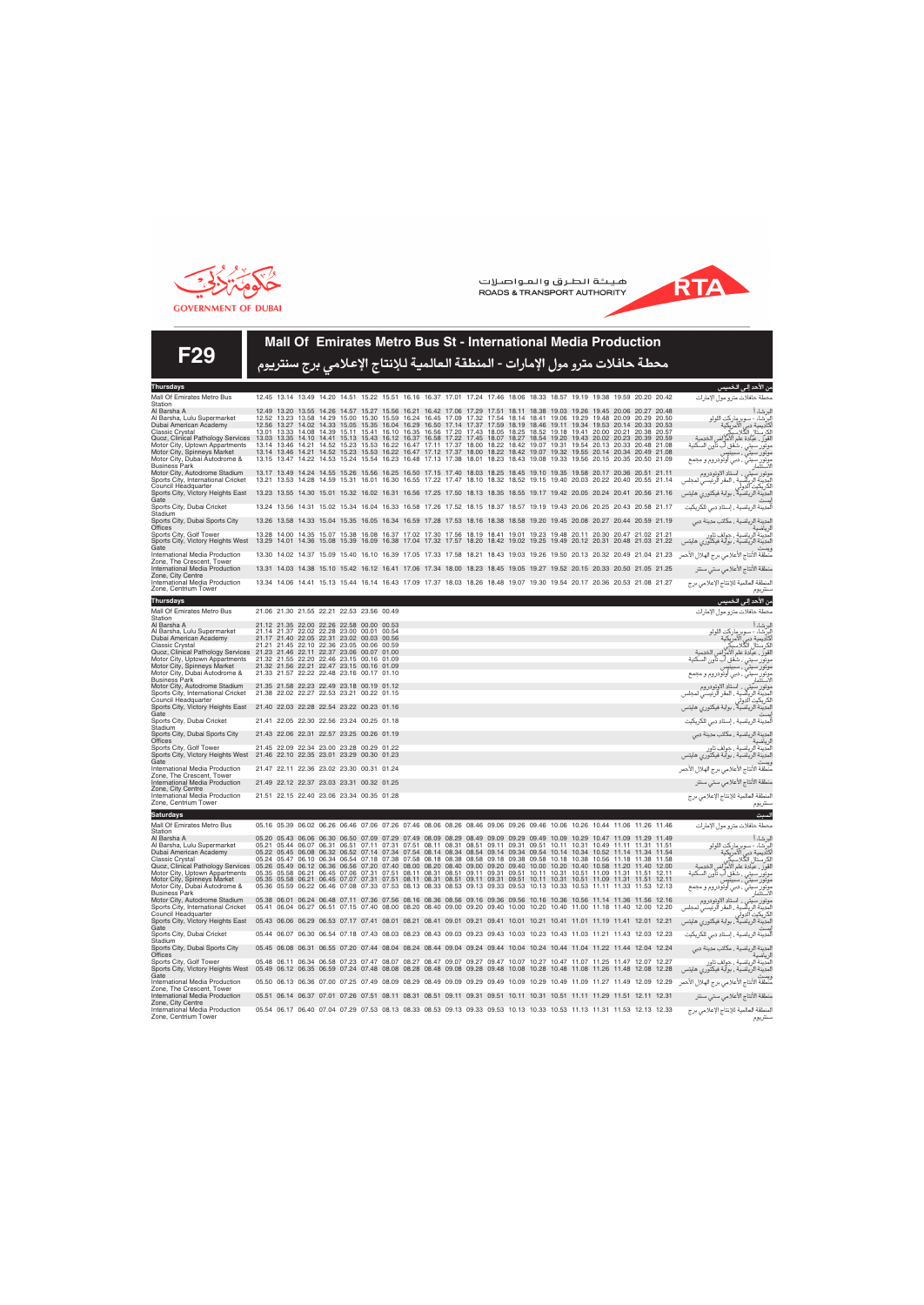



**F29**

| <b>Thursdays</b>                                                                                                                                                                            |                                                                                        |  |  |  |  |  |  |                                                                                                                                                                                                                                                    |  |  | من الأحد إلى الخميس                                                                     |
|---------------------------------------------------------------------------------------------------------------------------------------------------------------------------------------------|----------------------------------------------------------------------------------------|--|--|--|--|--|--|----------------------------------------------------------------------------------------------------------------------------------------------------------------------------------------------------------------------------------------------------|--|--|-----------------------------------------------------------------------------------------|
| Mall Of Emirates Metro Bus<br>Station                                                                                                                                                       |                                                                                        |  |  |  |  |  |  | 12.45 13.14 13.49 14.20 14.51 15.22 15.51 16.16 16.37 17.01 17.24 17.46 18.06 18.33 18.57 19.19 19.38 19.59 20.20 20.42                                                                                                                            |  |  | محطة حافلات مترو مول الإمارات                                                           |
| Al Barsha A<br>Al Barsha, Lulu Supermarket                                                                                                                                                  |                                                                                        |  |  |  |  |  |  | 12.49 13.20 13.55 14.26 14.57 15.27 15.56 16.21 16.42 17.06 17.29 17.51 18.11 18.38 19.03 19.26 19.45 20.06 20.27 20.48<br>12.52 13.23 13.58 14.29 15.00 15.30 15.59 16.24 16.45 17.09 17.32 17.54 18.14 18.41 19.06 19.29 19.48 20.09 20.29 20.50 |  |  | البرشاءا                                                                                |
| Dubai American Academy                                                                                                                                                                      |                                                                                        |  |  |  |  |  |  | 12.56 13.27 14.02 14.33 15.05 15.35 16.04 16.29 16.50 17.14 17.37 17.59 18.19 18.46 19.11 19.34 19.53 20.14 20.33 20.53                                                                                                                            |  |  | إلبرشاء - سوبر ماركت اللولو<br>أكاديمية دبي الأمريكية<br>الكرستال الكلاسيكي             |
| Classic Crystal<br>Quoz, Clinical Pathology Services                                                                                                                                        |                                                                                        |  |  |  |  |  |  | 13.01 13.33 14.08 14.39 15.11 15.41 16.10 16.35 16.56 17.20 17.43 18.05 18.25 18.52 19.18 19.41 20.00 20.21 20.38 20.57<br>13.03 13.35 14.10 14.41 15.13 15.43 16.12 16.37 16.58 17.22 17.45 18.07 18.27 18.54 19.20 19.43 20.02 20.23 20.39 20.59 |  |  | .<br>القور ، عيادة علم الأمراض<br>الخدمية                                               |
| Motor City, Uptown Appartments<br>Motor City, Spinneys Market                                                                                                                               |                                                                                        |  |  |  |  |  |  | 13.14 13.46 14.21 14.52 15.23 15.53 16.22 16.47 17.11 17.37 18.00 18.22 18.42 19.07 19.31 19.54 20.13 20.33 20.48 21.08<br>13.14 13.46 14.21 14.52 15.23 15.53 16.22 16.47 17.12 17.37 18.00 18.22 18.42 19.07 19.32 19.55 20.14 20.34 20.49 21.08 |  |  | موتور سيتي ، شقق أب تأون السكنية<br>موتور سيتي ، سبينيس                                 |
| Motor City, Dubai Autodrome &<br><b>Business Park</b>                                                                                                                                       |                                                                                        |  |  |  |  |  |  | 13.15 13.47 14.22 14.53 15.24 15.54 16.23 16.48 17.13 17.38 18.01 18.23 18.43 19.08 19.33 19.56 20.15 20.35 20.50 21.09                                                                                                                            |  |  | موتور سيتي ، دبي اوتودروم و مجمع<br>الأستثمار                                           |
| Motor City, Autodrome Stadium<br>Sports City, International Cricket                                                                                                                         |                                                                                        |  |  |  |  |  |  | 13.17 13.49 14.24 14.55 15.26 15.56 16.25 16.50 17.15 17.40 18.03 18.25 18.45 19.10 19.35 19.58 20.17 20.36 20.51 21.11<br>13.21 13.53 14.28 14.59 15.31 16.01 16.30 16.55 17.22 17.47 18.10 18.32 18.52 19.15 19.40 20.03 20.22 20.40 20.55 21.14 |  |  | موتور سيتي ، استاد الاوتودروم                                                           |
| Council Headquarter                                                                                                                                                                         |                                                                                        |  |  |  |  |  |  | 13.23 13.55 14.30 15.01 15.32 16.02 16.31 16.56 17.25 17.50 18.13 18.35 18.55 19.17 19.42 20.05 20.24 20.41 20.56 21.16                                                                                                                            |  |  | المدينة الرياضية ، المقر الرئيسي لمجلس<br>الكريكيت الدولى                               |
| Sports City, Victory Heights East<br>Gate                                                                                                                                                   |                                                                                        |  |  |  |  |  |  |                                                                                                                                                                                                                                                    |  |  | المدينة الرياضية"، بوابة فيكتوري هايتس                                                  |
| Sports City, Dubai Cricket<br>Stadium                                                                                                                                                       |                                                                                        |  |  |  |  |  |  | 13.24 13.56 14.31 15.02 15.34 16.04 16.33 16.58 17.26 17.52 18.15 18.37 18.57 19.19 19.43 20.06 20.25 20.43 20.58 21.17                                                                                                                            |  |  | المدينة الرياضية ، إستاد دبي للكريكيت                                                   |
| Sports City, Dubai Sports City<br>Offices                                                                                                                                                   |                                                                                        |  |  |  |  |  |  | 13.26 13.58 14.33 15.04 15.35 16.05 16.34 16.59 17.28 17.53 18.16 18.38 18.58 19.20 19.45 20.08 20.27 20.44 20.59 21.19                                                                                                                            |  |  | المدينة الرياضية ، مكاتب مدينة دبي<br>الرياضية                                          |
| Sports City, Golf Tower<br>Sports City, Victory Heights West<br>Gate                                                                                                                        |                                                                                        |  |  |  |  |  |  | 13.28 14.00 14.35 15.07 15.38 16.08 16.37 17.02 17.30 17.56 18.19 18.41 19.01 19.23 19.48 20.11 20.30 20.47 21.02 21.21<br>13.29 14.01 14.36 15.08 15.39 16.09 16.38 17.04 17.32 17.57 18.20 18.42 19.02 19.25 19.49 20.12 20.31 20.48 21.03 21.22 |  |  | المدينة الرياضية , جولف تاور<br>المدينة الرياضية ، بوابة فيكتوري هايتس                  |
| International Media Production<br>Zone, The Crescent, Tower                                                                                                                                 |                                                                                        |  |  |  |  |  |  | 13.30 14.02 14.37 15.09 15.40 16.10 16.39 17.05 17.33 17.58 18.21 18.43 19.03 19.26 19.50 20.13 20.32 20.49 21.04 21.23                                                                                                                            |  |  | منطقة الأنتاج الأعلامي برج الهلال الأحمر                                                |
| International Media Production                                                                                                                                                              |                                                                                        |  |  |  |  |  |  | 13.31 14.03 14.38 15.10 15.42 16.12 16.41 17.06 17.34 18.00 18.23 18.45 19.05 19.27 19.52 20.15 20.33 20.50 21.05 21.25                                                                                                                            |  |  | منطقة الأنتاج الأعلامي ستي سنتر                                                         |
| Zone, City Centre<br>International Media Production<br>Zone, Centrium Tower                                                                                                                 |                                                                                        |  |  |  |  |  |  | 13.34 14.06 14.41 15.13 15.44 16.14 16.43 17.09 17.37 18.03 18.26 18.48 19.07 19.30 19.54 20.17 20.36 20.53 21.08 21.27                                                                                                                            |  |  | المنطقة العالمية للإنتاج الإعلامي برج<br>سنتريوم                                        |
| <b>Thursdays</b>                                                                                                                                                                            |                                                                                        |  |  |  |  |  |  |                                                                                                                                                                                                                                                    |  |  | من الأحد إلى الخميس                                                                     |
| Mall Of Emirates Metro Bus                                                                                                                                                                  | 21.06 21.30 21.55 22.21 22.53 23.56 00.49                                              |  |  |  |  |  |  |                                                                                                                                                                                                                                                    |  |  | محطة حافلات مترو مول الإمارات                                                           |
| Station<br>Al Barsha A                                                                                                                                                                      | 21.12 21.35 22.00 22.26 22.58 00.00 00.53                                              |  |  |  |  |  |  |                                                                                                                                                                                                                                                    |  |  | البرشاء أ                                                                               |
| Al Barsha, Lulu Supermarket<br>Dubai American Academy                                                                                                                                       | 21.14 21.37 22.02 22.28 23.00 00.01 00.54<br>21.17 21.40 22.05 22.31 23.02 00.03 00.56 |  |  |  |  |  |  |                                                                                                                                                                                                                                                    |  |  | إلبر شاء - سوبر ماركت اللولو<br>أكاديمية دبي الآمريكية<br>الكرستال الكلاسيكي            |
| Classic Crystal<br>Quoz, Clinical Pathology Services 21.23 21.46 22.11 22.37 23.06 00.07 01.00                                                                                              | 21.21 21.45 22.10 22.36 23.05 00.06 00.59                                              |  |  |  |  |  |  |                                                                                                                                                                                                                                                    |  |  | القوز ، عيادة علم الأمراض الخدمية                                                       |
| Motor City, Uptown Appartments<br>Motor City, Spinneys Market                                                                                                                               | 21.32 21.55 22.20 22.46 23.15 00.16 01.09<br>21.32 21.56 22.21 22.47 23.15 00.16 01.09 |  |  |  |  |  |  |                                                                                                                                                                                                                                                    |  |  | موتور سيتي ، شقق أب تاون السكنية<br>موتور سيتي ، سبينيس                                 |
| Motor City, Dubai Autodrome &<br><b>Business Park</b>                                                                                                                                       | 21.33 21.57 22.22 22.48 23.16 00.17 01.10                                              |  |  |  |  |  |  |                                                                                                                                                                                                                                                    |  |  | موتور سيتيٍّ ، دبي أوتودروم و مجمع<br>الديني ا<br>الأستثمار                             |
| Motor City, Autodrome Stadium<br>Sports City, International Cricket                                                                                                                         | 21.35 21.58 22.23 22.49 23.18 00.19 01.12<br>21.38 22.02 22.27 22.53 23.21 00.22 01.15 |  |  |  |  |  |  |                                                                                                                                                                                                                                                    |  |  | موتور سيّتي ،  استاد الاوتودروم<br>مومرر<br>المدينة الرياضية ، المقر الرئيسي ا<br>لمجلس |
| Council Headquarter<br>Sports City, Victory Heights East                                                                                                                                    | 21.40 22.03 22.28 22.54 23.22 00.23 01.16                                              |  |  |  |  |  |  |                                                                                                                                                                                                                                                    |  |  | الكريكيت الدولر<br>المدينة الرياضية ، بوابة فيكتوري هايتس                               |
| Gate<br>Sports City, Dubai Cricket                                                                                                                                                          | 21.41 22.05 22.30 22.56 23.24 00.25 01.18                                              |  |  |  |  |  |  |                                                                                                                                                                                                                                                    |  |  | ألمدينة الرياضية ، إستاد دبي للكريكيت                                                   |
| Stadium<br>Sports City, Dubai Sports City                                                                                                                                                   | 21.43 22.06 22.31 22.57 23.25 00.26 01.19                                              |  |  |  |  |  |  |                                                                                                                                                                                                                                                    |  |  | المدينة الرياضية ، مكاتب مدينة دبي                                                      |
| Offices<br>Sports City, Golf Tower                                                                                                                                                          | 21.45 22.09 22.34 23.00 23.28 00.29 01.22                                              |  |  |  |  |  |  |                                                                                                                                                                                                                                                    |  |  | الرياضية<br>المدينة الرياضية ، جولف تاور                                                |
| Sports City, Victory Heights West 21.46 22.10 22.35 23.01 23.29 00.30 01.23<br>Gate<br>International Media Production                                                                       | 21.47 22.11 22.36 23.02 23.30 00.31 01.24                                              |  |  |  |  |  |  |                                                                                                                                                                                                                                                    |  |  | المدينة الرياضية ، بوابة فيكتوري هايتس<br>منطقة الأنتاج الأعلامي برج الهلال الأحمر      |
| Zone, The Crescent, Tower                                                                                                                                                                   |                                                                                        |  |  |  |  |  |  |                                                                                                                                                                                                                                                    |  |  |                                                                                         |
| International Media Production<br>Zone, City Centre                                                                                                                                         | 21.49 22.12 22.37 23.03 23.31 00.32 01.25                                              |  |  |  |  |  |  |                                                                                                                                                                                                                                                    |  |  | منطقة الأنتاج الأعلامي ستي سنتر                                                         |
| International Media Production<br>Zone, Centrium Tower                                                                                                                                      | 21.51 22.15 22.40 23.06 23.34 00.35 01.28                                              |  |  |  |  |  |  |                                                                                                                                                                                                                                                    |  |  | المنطقة العالمية للإنتاج الإعلامي برج<br>سنتريوم                                        |
| Saturdays                                                                                                                                                                                   |                                                                                        |  |  |  |  |  |  |                                                                                                                                                                                                                                                    |  |  | السبت                                                                                   |
| Mall Of Emirates Metro Bus<br>Station                                                                                                                                                       |                                                                                        |  |  |  |  |  |  | 05.16 05.39 06.02 06.26 06.46 07.06 07.26 07.46 08.06 08.26 08.46 09.06 09.26 09.46 10.06 10.26 10.44 11.06 11.26 11.46                                                                                                                            |  |  | محطة حافلات مترو مول الإمارات                                                           |
| Al Barsha A<br>Al Barsha, Lulu Supermarket                                                                                                                                                  |                                                                                        |  |  |  |  |  |  | 05.20 05.43 06.06 06.30 06.50 07.09 07.29 07.49 08.09 08.29 08.49 09.09 09.29 09.49 10.09 10.29 10.47 11.09 11.29 11.49<br>05.21 05.44 06.07 06.31 06.51 07.11 07.31 07.51 08.11 08.31 08.51 09.11 09.31 09.51 10.11 10.31 10.49 11.11 11.31 11.51 |  |  | البرشاء أ<br>إلبر شاء - سوبر ماركت اللولو                                               |
| Dubai American Academy<br>Classic Crystal                                                                                                                                                   |                                                                                        |  |  |  |  |  |  | 05.22 05.45 06.08 06.32 06.52 07.14 07.34 07.54 08.14 08.34 08.54 09.14 09.34 09.54 10.14 10.34 10.52 11.14 11.34 11.54<br>05.24 05.47 06.10 06.34 06.54 07.18 07.38 07.58 08.18 08.38 08.58 09.18 09.38 09.58 10.18 10.38 10.56 11.18 11.38 11.58 |  |  | أكاديمية دبي الأمريكية<br>الكرستال الكلاسيكي                                            |
| Quoz, Clinical Pathology Services 05.26 05.49 06.12 06.36 06.56 07.20 07.40 08.00 08.20 08.40 09.00 09.20 09.40 10.00 10.20 10.40 10.58 11.20 11.40 12.00<br>Motor City, Uptown Appartments |                                                                                        |  |  |  |  |  |  | 05.35 05.58 06.21 06.45 07.06 07.31 07.51 08.11 08.31 08.51 09.11 09.31 09.51 10.11 10.31 10.51 11.09 11.31 11.51 12.11                                                                                                                            |  |  | القور ، عيادة علم الأمراض الخدمية<br>موتور سيتي ، شقق أب تاون السكنية                   |
| Motor City, Spinneys Market<br>Motor City, Dubai Autodrome &                                                                                                                                |                                                                                        |  |  |  |  |  |  | 05.35 05.58 06.21 06.45 07.07 07.31 07.51 08.11 08.31 08.51 09.11 09.31 09.51 10.11 10.31 10.51 11.09 11.31 11.51 12.11<br>05.36 05.59 06.22 06.46 07.08 07.33 07.53 08.13 08.33 08.53 09.13 09.33 09.53 10.13 10.33 10.53 11.11 11.33 11.53 12.13 |  |  | موتور سيتي ، سبينيس                                                                     |
| <b>Business Park</b><br>Motor City, Autodrome Stadium                                                                                                                                       |                                                                                        |  |  |  |  |  |  | 05.38 06.01 06.24 06.48 07.11 07.36 07.56 08.16 08.36 08.56 09.16 09.36 09.56 10.16 10.36 10.56 11.14 11.36 11.56 12.16                                                                                                                            |  |  | موتور سيتي ، دبي اوتودروم و مجمع<br>الاستثمار                                           |
| Sports City, International Cricket<br>Council Headquarter                                                                                                                                   |                                                                                        |  |  |  |  |  |  | 05.41 06.04 06.27 06.51 07.15 07.40 08.00 08.20 08.40 09.00 09.20 09.40 10.00 10.20 10.40 11.00 11.18 11.40 12.00 12.20                                                                                                                            |  |  | موتور سيتي ، استاد الاوتودروم<br>المِديَّنَةِ الرياضية ، المقر الرئيسي                  |
| Sports City, Victory Heights East                                                                                                                                                           |                                                                                        |  |  |  |  |  |  | 05.43 06.06 06.29 06.53 07.17 07.41 08.01 08.21 08.41 09.01 09.21 09.41 10.01 10.21 10.41 11.01 11.19 11.41 12.01 12.21                                                                                                                            |  |  | الكريكيت الدولر<br>المدينة الرياضية , بوابة فيكتوري هايتس                               |
| Gate<br>Sports City, Dubai Cricket                                                                                                                                                          |                                                                                        |  |  |  |  |  |  | 05.44 06.07 06.30 06.54 07.18 07.43 08.03 08.23 08.43 09.03 09.23 09.43 10.03 10.23 10.43 11.03 11.21 11.43 12.03 12.23                                                                                                                            |  |  | المدينة الرياضية ، إستاد دبي للكريكيت                                                   |
| Stadium<br>Sports City, Dubai Sports City                                                                                                                                                   |                                                                                        |  |  |  |  |  |  | 05.45 06.08 06.31 06.55 07.20 07.44 08.04 08.24 08.44 09.04 09.24 09.44 10.04 10.24 10.44 11.04 11.22 11.44 12.04 12.24                                                                                                                            |  |  | المدينة الرياضية ، مكاتب مدينة دبي                                                      |
| Offices<br>Sports City, Golf Tower<br>Sports City, Victory Heights West                                                                                                                     |                                                                                        |  |  |  |  |  |  | 05.48 06.11 06.34 06.58 07.23 07.47 08.07 08.27 08.47 09.07 09.27 09.47 10.07 10.27 10.47 11.07 11.25 11.47 12.07 12.27<br>05.49 06.12 06.35 06.59 07.24 07.48 08.08 08.28 08.48 09.08 09.28 09.48 10.08 10.28 10.48 11.08 11.26 11.48 12.08 12.28 |  |  | الرياضية<br>المدينة الر ياضية , حولف تاور<br>المدينة الرياضية ، بوابة فيكتوري هايتس     |
| Gate<br>International Media Production                                                                                                                                                      |                                                                                        |  |  |  |  |  |  | 05.50 06.13 06.36 07.00 07.25 07.49 08.09 08.29 08.49 09.09 09.29 09.49 10.09 10.29 10.49 11.09 11.27 11.49 12.09 12.29                                                                                                                            |  |  | منطقة الأنتاج الأعلامي برج الهلال الأحمر                                                |
| Zone, The Crescent, Tower<br>International Media Production                                                                                                                                 |                                                                                        |  |  |  |  |  |  | 05.51 06.14 06.37 07.01 07.26 07.51 08.11 08.31 08.51 09.11 09.31 09.51 10.11 10.31 10.51 11.11 11.29 11.51 12.11 12.31                                                                                                                            |  |  | منطقة الأنتاج الأعلامي ستي سنتر                                                         |
| Zone, City Centre<br>International Media Production                                                                                                                                         |                                                                                        |  |  |  |  |  |  | 05.54 06.17 06.40 07.04 07.29 07.53 08.13 08.33 08.53 09.13 09.33 09.53 10.13 10.33 10.53 11.13 11.31 11.53 12.13 12.33                                                                                                                            |  |  |                                                                                         |
| Zone, Centrium Tower                                                                                                                                                                        |                                                                                        |  |  |  |  |  |  |                                                                                                                                                                                                                                                    |  |  | المنطقة العالمية للإنتاج الإعلامي برج<br>سنتريوم                                        |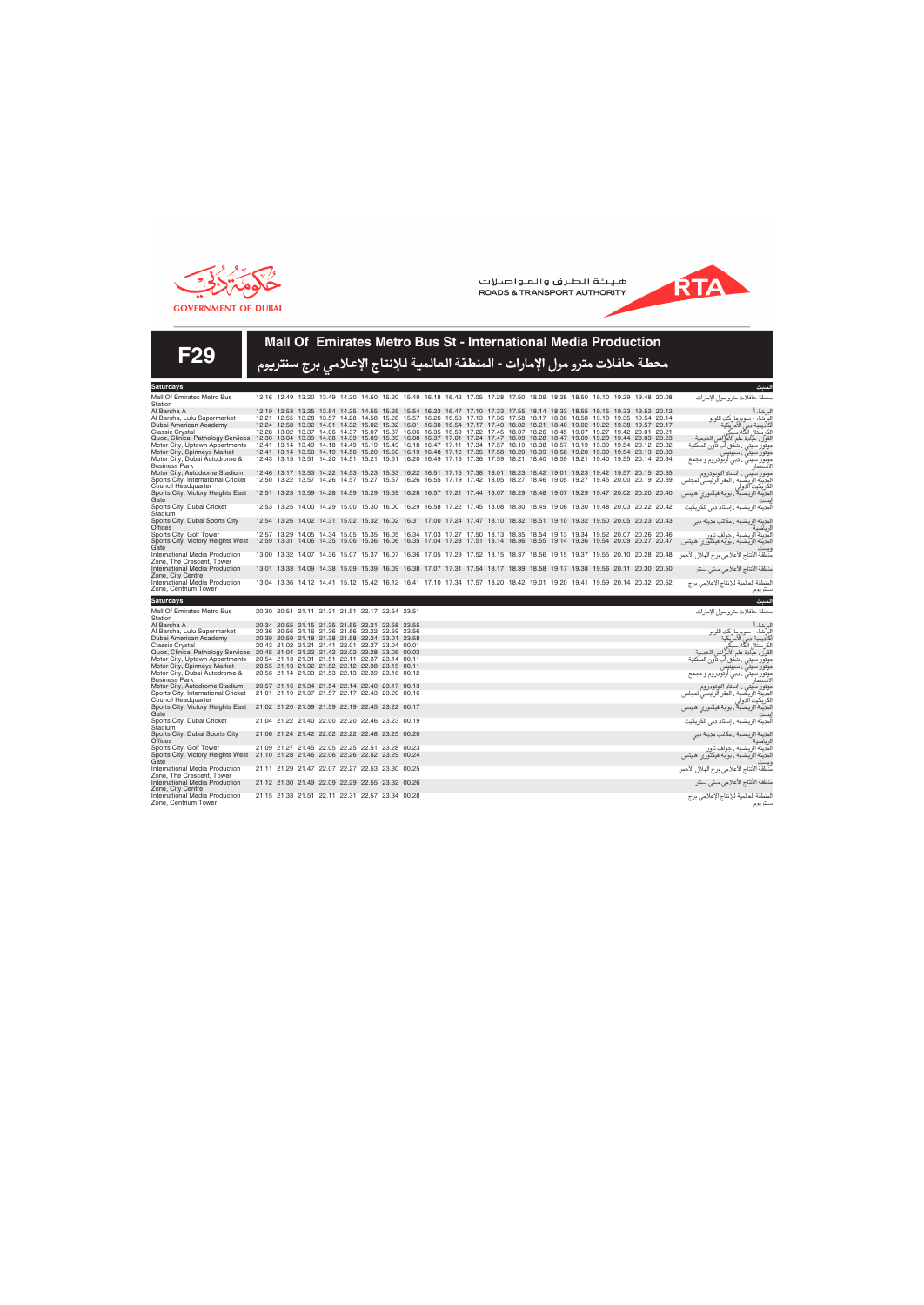





| <b>Saturdays</b>                                                                  |                                                                                                                         |  |  |  |  |  |  |  |  |  | سىت                                                       |
|-----------------------------------------------------------------------------------|-------------------------------------------------------------------------------------------------------------------------|--|--|--|--|--|--|--|--|--|-----------------------------------------------------------|
| Mall Of Emirates Metro Bus<br>Station                                             | 12.16 12.49 13.20 13.49 14.20 14.50 15.20 15.49 16.18 16.42 17.05 17.28 17.50 18.09 18.28 18.50 19.10 19.29 19.48 20.08 |  |  |  |  |  |  |  |  |  | محطة حافلات مترو مول الإمارات                             |
| Al Barsha A                                                                       | 12.19 12.53 13.25 13.54 14.25 14.55 15.25 15.54 16.23 16.47 17.10 17.33 17.55 18.14 18.33 18.55 19.15 19.33 19.52 20.12 |  |  |  |  |  |  |  |  |  | لبر شاء أ                                                 |
| Al Barsha, Lulu Supermarket                                                       | 12.21 12.55 13.28 13.57 14.28 14.58 15.28 15.57 16.26 16.50 17.13 17.36 17.58 18.17 18.36 18.58 19.18 19.35 19.54 20.14 |  |  |  |  |  |  |  |  |  | لبرشاء - سوبر ماركت اللولو                                |
| Dubai American Academy                                                            | 12.24 12.58 13.32 14.01 14.32 15.02 15.32 16.01 16.30 16.54 17.17 17.40 18.02 18.21 18.40 19.02 19.22 19.38 19.57 20.17 |  |  |  |  |  |  |  |  |  |                                                           |
| <b>Classic Crystal</b>                                                            | 12.28 13.02 13.37 14.06 14.37 15.07 15.37 16.06 16.35 16.59 17.22 17.45 18.07 18.26 18.45 19.07 19.27 19.42 20.01 20.21 |  |  |  |  |  |  |  |  |  | أكاديمية دبيّ الآمريكية<br>الكرستال الكلاسيكي             |
| Quoz, Clinical Pathology Services                                                 | 12.30 13.04 13.39 14.08 14.39 15.09 15.39 16.08 16.37 17.01 17.24 17.47 18.09 18.28 18.47 19.09 19.29 19.44 20.03 20.23 |  |  |  |  |  |  |  |  |  | القورِّ ، عيَّادة علم الأمرَّاض الخدمية                   |
| Motor City, Uptown Appartments                                                    | 12.41 13.14 13.49 14.18 14.49 15.19 15.49 16.18 16.47 17.11 17.34 17.57 18.19 18.38 18.57 19.19 19.39 19.54 20.12 20.32 |  |  |  |  |  |  |  |  |  | موتور سيتي ، شقق أب تأون السكنية                          |
| Motor City, Spinneys Market                                                       | 12.41 13.14 13.50 14.19 14.50 15.20 15.50 16.19 16.48 17.12 17.35 17.58 18.20 18.39 18.58 19.20 19.39 19.54 20.13 20.33 |  |  |  |  |  |  |  |  |  | موتور سيتى ، سبينيس                                       |
| Motor City, Dubai Autodrome &                                                     | 12.43 13.15 13.51 14.20 14.51 15.21 15.51 16.20 16.49 17.13 17.36 17.59 18.21 18.40 18.59 19.21 19.40 19.55 20.14 20.34 |  |  |  |  |  |  |  |  |  | موتور سيتي ، دبي اوتودروم و مجمع                          |
| <b>Business Park</b>                                                              |                                                                                                                         |  |  |  |  |  |  |  |  |  | الاستثمار                                                 |
| Motor City, Autodrome Stadium                                                     | 12.46 13.17 13.53 14.22 14.53 15.23 15.53 16.22 16.51 17.15 17.38 18.01 18.23 18.42 19.01 19.23 19.42 19.57 20.15 20.35 |  |  |  |  |  |  |  |  |  | موتور سيتى ، استاد الاوتودروم                             |
| Sports City, International Cricket                                                | 12.50 13.22 13.57 14.26 14.57 15.27 15.57 16.26 16.55 17.19 17.42 18.05 18.27 18.46 19.05 19.27 19.45 20.00 20.19 20.39 |  |  |  |  |  |  |  |  |  | المدينة الرياضية ، المقر الرئيسي لمجلس                    |
| Council Headquarter                                                               |                                                                                                                         |  |  |  |  |  |  |  |  |  | لکر یکیت الدولے                                           |
| Sports City, Victory Heights East                                                 | 12.51 13.23 13.59 14.28 14.59 15.29 15.59 16.28 16.57 17.21 17.44 18.07 18.29 18.48 19.07 19.29 19.47 20.02 20.20 20.40 |  |  |  |  |  |  |  |  |  | المدينة الرياضية"، بوابة فيكتوري هايتس                    |
| Gate                                                                              |                                                                                                                         |  |  |  |  |  |  |  |  |  |                                                           |
| Sports City, Dubai Cricket<br>Stadium                                             | 12.53 13.25 14.00 14.29 15.00 15.30 16.00 16.29 16.58 17.22 17.45 18.08 18.30 18.49 19.08 19.30 19.48 20.03 20.22 20.42 |  |  |  |  |  |  |  |  |  | لمدينة الرياضية ، إستاد دبي للكريكيت                      |
| Sports City, Dubai Sports City                                                    | 12.54 13.26 14.02 14.31 15.02 15.32 16.02 16.31 17.00 17.24 17.47 18.10 18.32 18.51 19.10 19.32 19.50 20.05 20.23 20.43 |  |  |  |  |  |  |  |  |  |                                                           |
| Offices                                                                           |                                                                                                                         |  |  |  |  |  |  |  |  |  | لمدينة الرياضية ، مكاتب مدينة دبي                         |
| Sports City, Golf Tower                                                           | 12.57 13.29 14.05 14.34 15.05 15.35 16.05 16.34 17.03 17.27 17.50 18.13 18.35 18.54 19.13 19.34 19.52 20.07 20.26 20.46 |  |  |  |  |  |  |  |  |  | لمدينة الرياضية ، حولف تاور                               |
| Sports City, Victory Heights West                                                 | 12.59 13.31 14.06 14.35 15.06 15.36 16.06 16.35 17.04 17.28 17.51 18.14 18.36 18.55 19.14 19.36 19.54 20.09 20.27 20.47 |  |  |  |  |  |  |  |  |  | لمدينة الرياضية ، بوابة فيكتوري هايتس                     |
| Gate                                                                              |                                                                                                                         |  |  |  |  |  |  |  |  |  |                                                           |
| International Media Production                                                    | 13.00 13.32 14.07 14.36 15.07 15.37 16.07 16.36 17.05 17.29 17.52 18.15 18.37 18.56 19.15 19.37 19.55 20.10 20.28 20.48 |  |  |  |  |  |  |  |  |  | منطقة الأنتاج الأعلامي برج الهلال الأحمر                  |
| Zone. The Crescent. Tower                                                         |                                                                                                                         |  |  |  |  |  |  |  |  |  |                                                           |
| International Media Production                                                    | 13.01 13.33 14.09 14.38 15.09 15.39 16.09 16.38 17.07 17.31 17.54 18.17 18.39 18.58 19.17 19.38 19.56 20.11 20.30 20.50 |  |  |  |  |  |  |  |  |  | منطقة الأنتاج الأعلامي ستي سنتر                           |
| Zone, City Centre                                                                 |                                                                                                                         |  |  |  |  |  |  |  |  |  |                                                           |
| International Media Production                                                    | 13.04 13.36 14.12 14.41 15.12 15.42 16.12 16.41 17.10 17.34 17.57 18.20 18.42 19.01 19.20 19.41 19.59 20.14 20.32 20.52 |  |  |  |  |  |  |  |  |  | لمنطقة العالمية للإنتاج الإعلامي برج                      |
| Zone, Centrium Tower                                                              |                                                                                                                         |  |  |  |  |  |  |  |  |  | سنتريوم                                                   |
|                                                                                   |                                                                                                                         |  |  |  |  |  |  |  |  |  |                                                           |
| <b>Saturdays</b>                                                                  |                                                                                                                         |  |  |  |  |  |  |  |  |  | سىت                                                       |
|                                                                                   |                                                                                                                         |  |  |  |  |  |  |  |  |  |                                                           |
| Mall Of Emirates Metro Bus                                                        | 20.30 20.51 21.11 21.31 21.51 22.17 22.54 23.51                                                                         |  |  |  |  |  |  |  |  |  | محطة حافلات مترو مول الإمارات                             |
| Station                                                                           |                                                                                                                         |  |  |  |  |  |  |  |  |  |                                                           |
| Al Barsha A                                                                       | 20.34 20.55 21.15 21.35 21.55 22.21 22.58 23.55                                                                         |  |  |  |  |  |  |  |  |  | لبر شاء أ                                                 |
| Al Barsha, Lulu Supermarket                                                       | 20.36 20.56 21.16 21.36 21.56 22.22 22.59 23.56                                                                         |  |  |  |  |  |  |  |  |  | لبر شاء - سوبر مار كت اللولو                              |
| Dubai American Academy                                                            | 20.39 20.59 21.18 21.38 21.58 22.24 23.01 23.58                                                                         |  |  |  |  |  |  |  |  |  |                                                           |
| <b>Classic Crystal</b>                                                            | 20.43 21.02 21.21 21.41 22.01 22.27 23.04 00.01                                                                         |  |  |  |  |  |  |  |  |  | أكاديمية دبي الأمريكية<br>الكرستال الكلاسيكي              |
| Quoz, Clinical Pathology Services 20.45 21.04 21.22 21.42 22.02 22.28 23.05 00.02 |                                                                                                                         |  |  |  |  |  |  |  |  |  | القوز ، عيادة علم الأمرَّ اض الخدمية                      |
| Motor City, Uptown Appartments<br>Motor City, Spinneys Market                     | 20.54 21.13 21.31 21.51 22.11 22.37 23.14 00.11<br>20.55 21.13 21.32 21.52 22.12 22.38 23.15 00.11                      |  |  |  |  |  |  |  |  |  | موتور سيتي ، شقق آب تأون السكنية                          |
| Motor City, Dubai Autodrome &                                                     | 20.56 21.14 21.33 21.53 22.13 22.39 23.16 00.12                                                                         |  |  |  |  |  |  |  |  |  | موتور سيتى ، سبينيس                                       |
| <b>Business Park</b>                                                              |                                                                                                                         |  |  |  |  |  |  |  |  |  | موتور سيتي ، دبي اوتودروم و مجمع                          |
| Motor City, Autodrome Stadium                                                     | 20.57 21.16 21.34 21.54 22.14 22.40 23.17 00.13                                                                         |  |  |  |  |  |  |  |  |  | موتور سيتى ، استاد الاوتودروم                             |
| Sports City, International Cricket                                                | 21.01 21.19 21.37 21.57 22.17 22.43 23.20 00.16                                                                         |  |  |  |  |  |  |  |  |  |                                                           |
| Council Headquarter                                                               |                                                                                                                         |  |  |  |  |  |  |  |  |  | المدينة الرياضية ، المقر الرئيسي لمجلس<br>لكر ىكىت الدوله |
| Sports City, Victory Heights East                                                 | 21.02 21.20 21.39 21.59 22.19 22.45 23.22 00.17                                                                         |  |  |  |  |  |  |  |  |  | لمدينة الرياضية ، بوابة فيكتوري هايتس                     |
| Gate                                                                              |                                                                                                                         |  |  |  |  |  |  |  |  |  |                                                           |
| Sports City, Dubai Cricket                                                        | 21.04 21.22 21.40 22.00 22.20 22.46 23.23 00.19                                                                         |  |  |  |  |  |  |  |  |  | لمدينة الرياضية ، إستاد دبي للكريكيت                      |
| Stadium                                                                           |                                                                                                                         |  |  |  |  |  |  |  |  |  |                                                           |
| Sports City, Dubai Sports City                                                    | 21.06 21.24 21.42 22.02 22.22 22.48 23.25 00.20                                                                         |  |  |  |  |  |  |  |  |  | لمدينة الرياضية ، مكاتب مدينة دبي                         |
| Offices                                                                           |                                                                                                                         |  |  |  |  |  |  |  |  |  |                                                           |
| Sports City, Golf Tower                                                           | 21.09 21.27 21.45 22.05 22.25 22.51 23.28 00.23                                                                         |  |  |  |  |  |  |  |  |  | لمدينة الرياضية ، حولف تاور                               |
| Sports City, Victory Heights West<br>Gate                                         | 21.10 21.28 21.46 22.06 22.26 22.52 23.29 00.24                                                                         |  |  |  |  |  |  |  |  |  | لمدينة الرياضية ، بوابة فيكتوري هايتس                     |
| International Media Production                                                    | 21.11 21.29 21.47 22.07 22.27 22.53 23.30 00.25                                                                         |  |  |  |  |  |  |  |  |  |                                                           |
| Zone, The Crescent, Tower                                                         |                                                                                                                         |  |  |  |  |  |  |  |  |  | مّنطقة الأنتاج الأعلامي برج الهلال الأحمر                 |
| International Media Production                                                    | 21.12 21.30 21.49 22.09 22.29 22.55 23.32 00.26                                                                         |  |  |  |  |  |  |  |  |  |                                                           |
| Zone, City Centre                                                                 |                                                                                                                         |  |  |  |  |  |  |  |  |  | منطقة الأنتاج الأعلامي ستي سنتر                           |
| International Media Production<br>Zone, Centrium Tower                            | 21.15 21.33 21.51 22.11 22.31 22.57 23.34 00.28                                                                         |  |  |  |  |  |  |  |  |  | لمنطقة العالمية للإنتاج الإعلامي برج                      |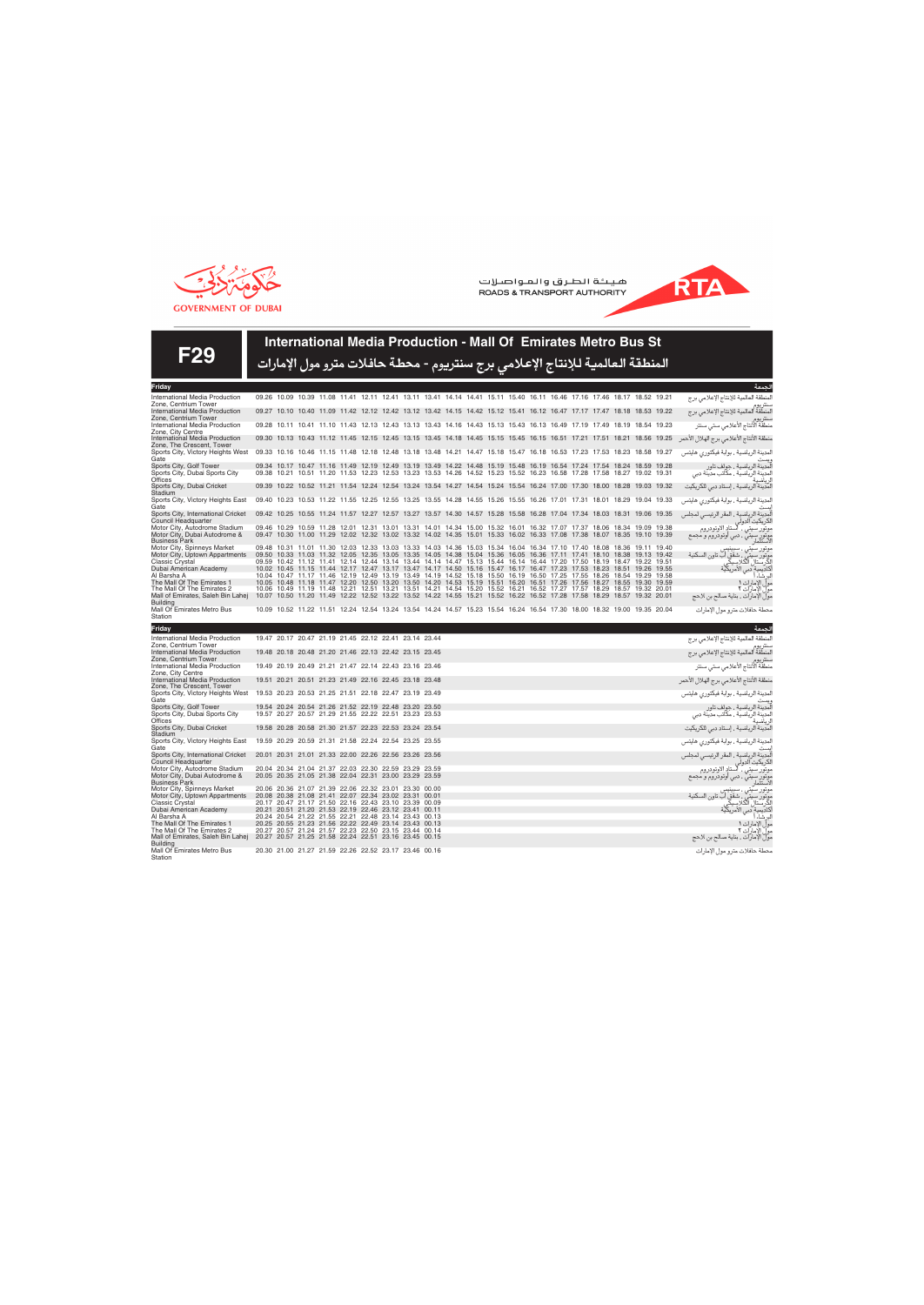



## **F29 International Media Production - Mall Of Emirates Metro Bus St**

| I EV                                                                                   |  | المنطقة العالمية للإنتاج الإعلامي برج سنتريوم - محطة حافلات مترو مول الإمارات                                                                                                                                                                      |  |  |  |  |  |  |  |  |                                                                                        |
|----------------------------------------------------------------------------------------|--|----------------------------------------------------------------------------------------------------------------------------------------------------------------------------------------------------------------------------------------------------|--|--|--|--|--|--|--|--|----------------------------------------------------------------------------------------|
| <b>Friday</b>                                                                          |  |                                                                                                                                                                                                                                                    |  |  |  |  |  |  |  |  | الحمعة                                                                                 |
| International Media Production<br>Zone. Centrium Tower                                 |  | 09.26 10.09 10.39 11.08 11.41 12.11 12.41 13.11 13.41 14.14 14.41 15.11 15.40 16.11 16.46 17.16 17.46 18.17 18.52 19.21                                                                                                                            |  |  |  |  |  |  |  |  | المنطقة العالمية للإنتاج الإعلامي برج                                                  |
| <b>International Media Production</b><br>Zone. Centrium Tower                          |  | 09.27 10.10 10.40 11.09 11.42 12.12 12.42 13.12 13.42 14.15 14.42 15.12 15.41 16.12 16.47 17.17 17.47 18.18 18.53 19.22                                                                                                                            |  |  |  |  |  |  |  |  | سنتريوم<br>المنطقة العالمية للإنتاج الإعلامي برج                                       |
| International Media Production<br>Zone, City Centre                                    |  | 09.28 10.11 10.41 11.10 11.43 12.13 12.43 13.13 13.43 14.16 14.43 15.13 15.43 16.13 16.49 17.19 17.49 18.19 18.54 19.23                                                                                                                            |  |  |  |  |  |  |  |  | سنتريوم<br>منطقة الأنتاج الأعلامي ستي سنتر                                             |
| <b>International Media Production</b><br>Zone. The Crescent. Tower                     |  | 09.30 10.13 10.43 11.12 11.45 12.15 12.45 13.15 13.45 14.18 14.45 15.15 15.45 16.15 16.51 17.21 17.51 18.21 18.56 19.25                                                                                                                            |  |  |  |  |  |  |  |  | منطقة الأنتاج الأعلامى برج الهلال الاحمر                                               |
| Sports City, Victory Heights West<br>Gate                                              |  | 09.33 10.16 10.46 11.15 11.48 12.18 12.48 13.18 13.48 14.21 14.47 15.18 15.47 16.18 16.53 17.23 17.53 18.23 18.58 19.27                                                                                                                            |  |  |  |  |  |  |  |  | المدينة الرياضية ، بوابة فيكتوري هايتس                                                 |
| Sports City, Golf Tower<br>Sports City, Dubai Sports City<br>Offices                   |  | 09.34 10.17 10.47 11.16 11.49 12.19 12.49 13.19 13.49 14.22 14.48 15.19 15.48 16.19 16.54 17.24 17.54 18.24 18.59 19.28<br>09.38 10.21 10.51 11.20 11.53 12.23 12.53 13.23 13.53 14.26 14.52 15.23 15.52 16.23 16.58 17.28 17.58 18.27 19.02 19.31 |  |  |  |  |  |  |  |  | ويست<br>المدينة الرياضية ، جولف تاور<br>المدينة الرياضية ، مكاتب مدينة دبي<br>لا ماضمة |
| Sports City, Dubai Cricket<br>Stadium                                                  |  | 09.39 10.22 10.52 11.21 11.54 12.24 12.54 13.24 13.54 14.27 14.54 15.24 15.54 16.24 17.00 17.30 18.00 18.28 19.03 19.32                                                                                                                            |  |  |  |  |  |  |  |  | المدينة الرياضية ، إستاد دبي للكريكيت                                                  |
| Sports City, Victory Heights East<br>Gate                                              |  | 09.40 10.23 10.53 11.22 11.55 12.25 12.55 13.25 13.55 14.28 14.55 15.26 15.55 16.26 17.01 17.31 18.01 18.29 19.04 19.33                                                                                                                            |  |  |  |  |  |  |  |  | المدينة الرياضية ، بوابة فيكتوري هايتس                                                 |
| Sports City, International Cricket<br>Council Headquarter                              |  | 09.42 10.25 10.55 11.24 11.57 12.27 12.57 13.27 13.57 14.30 14.57 15.28 15.58 16.28 17.04 17.34 18.03 18.31 19.06 19.35                                                                                                                            |  |  |  |  |  |  |  |  | ألمدينة الرياضية ، المقر الرئيسي لمجلس<br>الكريكيت الدولى                              |
| Motor City, Autodrome Stadium<br>Motor City, Dubai Autodrome &<br><b>Business Park</b> |  | 09.46 10.29 10.59 11.28 12.01 12.31 13.01 13.31 14.01 14.34 15.00 15.32 16.01 16.32 17.07 17.37 18.06 18.34 19.09 19.38<br>09.47 10.30 11.00 11.29 12.02 12.32 13.02 13.32 14.02 14.35 15.01 15.33 16.02 16.33 17.08 17.38 18.07 18.35 19.10 19.39 |  |  |  |  |  |  |  |  | أستاد الاوتودروم<br>موتور سيتى،<br>مونور سيتي، دبي اونودروم و مجمع<br>لاستثمار         |
| Motor City, Spinneys Market<br>Motor City, Uptown Appartments                          |  | 09.48 10.31 11.01 11.30 12.03 12.33 13.03 13.33 14.03 14.36 15.03 15.34 16.04 16.34 17.10 17.40 18.08 18.36 19.11 19.40<br>09.50 10.33 11.03 11.32 12.05 12.35 13.05 13.35 14.05 14.38 15.04 15.36 16.05 16.36 17.11 17.41 18.10 18.38 19.13 19.42 |  |  |  |  |  |  |  |  | موتور سيتى<br>سبينيس<br>موتور سيتيَّ ، شقق أب تاون السكنية                             |
| Classic Crystal<br>Dubai American Academy                                              |  | 09.59 10.42 11.12 11.41 12.14 12.44 13.14 13.44 14.14 14.47 15.13 15.44 16.14 16.44 17.20 17.50 18.19 18.47 19.22 19.51<br>10.02 10.45 11.15 11.44 12.17 12.47 13.17 13.47 14.17 14.50 15.16 15.47 16.17 16.47 17.23 17.53 18.23 18.51 19.26 19.55 |  |  |  |  |  |  |  |  | الكرستال الكلاسيك<br>أكاديمية دبي الأمريكية                                            |
| Al Barsha A<br>The Mall Of The Emirates 1                                              |  | 10.04 10.47 11.17 11.46 12.19 12.49 13.19 13.49 14.19 14.52 15.18 15.50 16.19 16.50 17.25 17.55 18.26 18.54 19.29 19.58<br>10.05 10.48 11.18 11.47 12.20 12.50 13.20 13.50 14.20 14.53 15.19 15.51 16.20 16.51 17.26 17.56 18.27 18.55 19.30 19.59 |  |  |  |  |  |  |  |  | لد شاء أ<br>مولِّ الإمارات ١                                                           |
| The Mall Of The Emirates 2<br>Mall of Emirates. Saleh Bin Lahei<br><b>Building</b>     |  | 10.06 10.49 11.19 11.48 12.21 12.51 13.21 13.51 14.21 14.54 15.20 15.52 16.21 16.52 17.27 17.57 18.29 18.57 19.32 20.01<br>10.07 10.50 11.20 11.49 12.22 12.52 13.22 13.52 14.22 14.55 15.21 15.52 16.22 16.52 17.28 17.58 18.29 18.57 19.32 20.01 |  |  |  |  |  |  |  |  | مول الإمارات ٢<br>مول الإمارات ، بناية صالح بن لاحج                                    |
| Mall Of Emirates Metro Bus<br>Station                                                  |  | 10.09 10.52 11.22 11.51 12.24 12.54 13.24 13.54 14.24 14.57 15.23 15.54 16.24 16.54 17.30 18.00 18.32 19.00 19.35 20.04                                                                                                                            |  |  |  |  |  |  |  |  | محطة حافلات مترو مول الإمارات                                                          |

| Friday                                                                                          |                                                       |  |  |  | الجمعة                                                                                                                 |
|-------------------------------------------------------------------------------------------------|-------------------------------------------------------|--|--|--|------------------------------------------------------------------------------------------------------------------------|
| International Media Production<br>Zone, Centrium Tower                                          | 19.47 20.17 20.47 21.19 21.45 22.12 22.41 23.14 23.44 |  |  |  | المنطقة العالمية للإنتاج الإعلامي برج<br>سنتريوم<br>المنطقة العالمية للإنتاج الإعلامي برج                              |
| International Media Production<br>Zone, Centrium Tower                                          | 19.48 20.18 20.48 21.20 21.46 22.13 22.42 23.15 23.45 |  |  |  |                                                                                                                        |
| International Media Production<br>Zone, City Centre                                             | 19.49 20.19 20.49 21.21 21.47 22.14 22.43 23.16 23.46 |  |  |  | سنتريوم<br>سنتريوم<br>منطقة الأنتاج الأعلامي ستي سنتر                                                                  |
| International Media Production<br>Zone. The Crescent. Tower                                     | 19.51 20.21 20.51 21.23 21.49 22.16 22.45 23.18 23.48 |  |  |  | منطقة الأنتاج الأعلامي برج الهلال الأحمر                                                                               |
| Sports City, Victory Heights West<br>Gate                                                       | 19.53 20.23 20.53 21.25 21.51 22.18 22.47 23.19 23.49 |  |  |  | المدينة الرياضية ، بوابة فيكتوري هايتس                                                                                 |
| Sports City, Golf Tower                                                                         | 19.54 20.24 20.54 21.26 21.52 22.19 22.48 23.20 23.50 |  |  |  |                                                                                                                        |
| Sports City, Dubai Sports City<br>Offices                                                       | 19.57 20.27 20.57 21.29 21.55 22.22 22.51 23.23 23.53 |  |  |  | ويست<br>المدينة الرباضية ، جولف تاور<br>المدينة الرباضية ، مكاتب مدينة دبي<br>الرباضية                                 |
| Sports City, Dubai Cricket<br>Stadium                                                           | 19.58 20.28 20.58 21.30 21.57 22.23 22.53 23.24 23.54 |  |  |  | المدينة الرياضية ، إستاد دبي للكريكيت                                                                                  |
| Sports City, Victory Heights East 19.59 20.29 20.59 21.31 21.58 22.24 22.54 23.25 23.55<br>Gate |                                                       |  |  |  | المدينة الرياضية ، بوابة فيكتوري هايتس                                                                                 |
| Sports City, International Cricket<br>Council Headquarter                                       | 20.01 20.31 21.01 21.33 22.00 22.26 22.56 23.26 23.56 |  |  |  | إيست<br>ألمدينة الرياضية ، المقر الرئيسي لمجلس<br>مدينه <sub>"ترج</sub><br>الكريكيت الدولي<br>- تصديق استاد الاوتودروم |
| Motor City, Autodrome Stadium                                                                   | 20.04 20.34 21.04 21.37 22.03 22.30 22.59 23.29 23.59 |  |  |  |                                                                                                                        |
| Motor City, Dubai Autodrome &<br><b>Business Park</b>                                           | 20.05 20.35 21.05 21.38 22.04 22.31 23.00 23.29 23.59 |  |  |  | موتور سيتي ، دبي أوتودروّم و مجمع<br>الاستثمار                                                                         |
| Motor City, Spinneys Market                                                                     | 20.06 20.36 21.07 21.39 22.06 22.32 23.01 23.30 00.00 |  |  |  |                                                                                                                        |
| Motor City, Uptown Appartments                                                                  | 20.08 20.38 21.08 21.41 22.07 22.34 23.02 23.31 00.01 |  |  |  |                                                                                                                        |
| Classic Crystal                                                                                 | 20.17 20.47 21.17 21.50 22.16 22.43 23.10 23.39 00.09 |  |  |  | سرور صيبي ، شقق أب تاون السكنية<br>موتور سبيني ، شقق أب تاون السكنية<br>الكرستال الكلابسيكي<br>أكاديمية دبي الأمريكية  |
| Dubai American Academy                                                                          | 20.21 20.51 21.20 21.53 22.19 22.46 23.12 23.41 00.11 |  |  |  |                                                                                                                        |
| Al Barsha A                                                                                     | 20.24 20.54 21.22 21.55 22.21 22.48 23.14 23.43 00.13 |  |  |  |                                                                                                                        |
| The Mall Of The Emirates 1                                                                      | 20.25 20.55 21.23 21.56 22.22 22.49 23.14 23.43 00.13 |  |  |  | مولّ الإمارات ١                                                                                                        |
| The Mall Of The Emirates 2                                                                      | 20.27 20.57 21.24 21.57 22.23 22.50 23.15 23.44 00.14 |  |  |  | مول الإمارات ٢<br>مول الإمارات , بناية صالح بن لاحج                                                                    |
| Mall of Emirates, Saleh Bin Lahej<br><b>Building</b>                                            | 20.27 20.57 21.25 21.58 22.24 22.51 23.16 23.45 00.15 |  |  |  |                                                                                                                        |
| Mall Of Emirates Metro Bus<br>Station                                                           | 20.30 21.00 21.27 21.59 22.26 22.52 23.17 23.46 00.16 |  |  |  | محطة حافلات مترو مول الإمارات                                                                                          |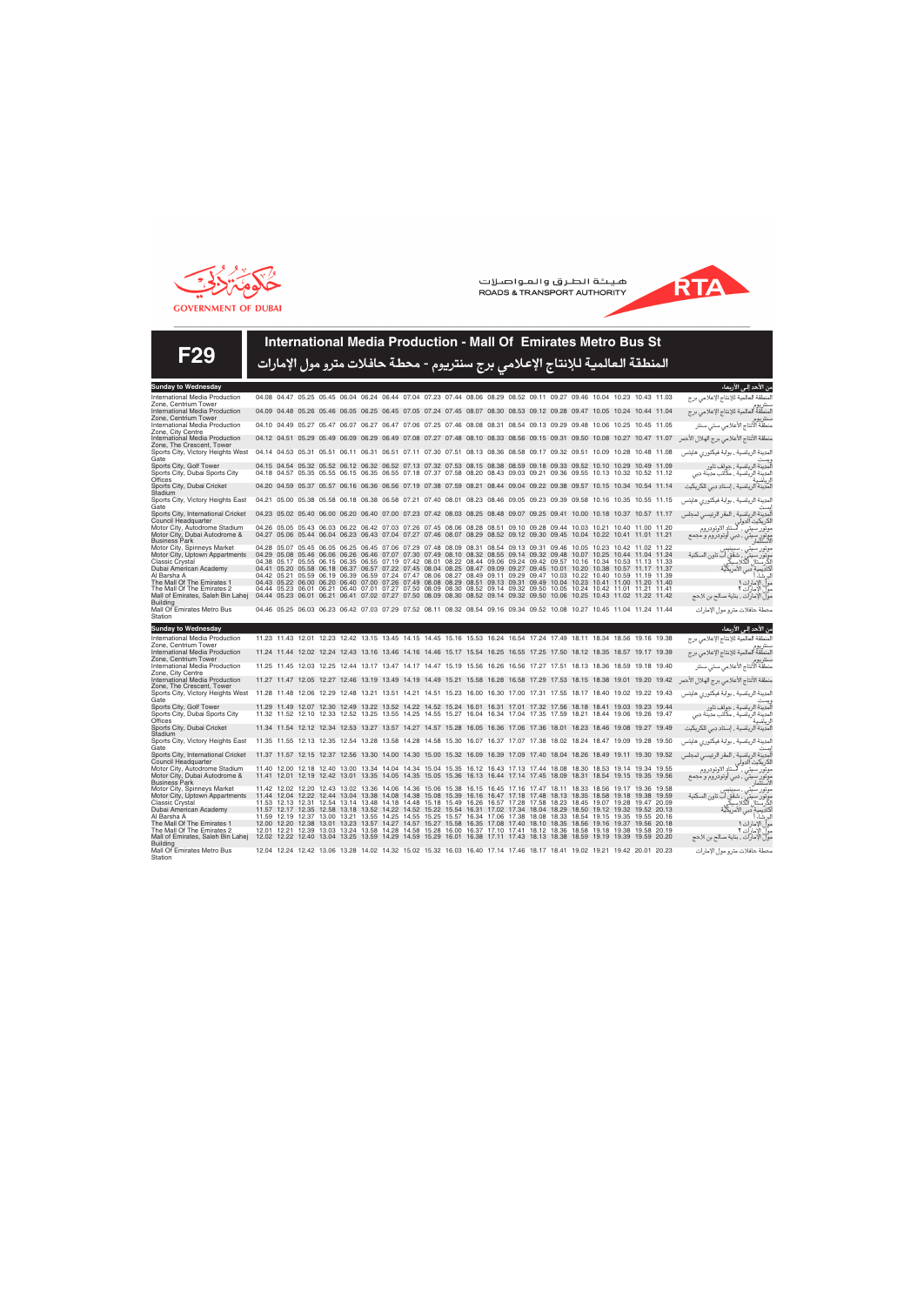

**F29**

**Sunday to Wednesday**

Zone, Centrium Tower

Offices Sports City, Dubai Cricket Stadium

Zone, City Centre

Gate

**Gate** 

هيئة الطرق والمواصلات **ROADS & TRANSPORT AUTHORITY** 



| Station                                                        |  |  |  |  |  |  |  |                                                                                                                                                                                                                                                    |  |  |
|----------------------------------------------------------------|--|--|--|--|--|--|--|----------------------------------------------------------------------------------------------------------------------------------------------------------------------------------------------------------------------------------------------------|--|--|
| <b>Building</b><br>Mall Of Emirates Metro Bus                  |  |  |  |  |  |  |  | 04.46 05.25 06.03 06.23 06.42 07.03 07.29 07.52 08.11 08.32 08.54 09.16 09.34 09.52 10.08 10.27 10.45 11.04 11.24 11.44                                                                                                                            |  |  |
| Mall of Emirates, Saleh Bin Lahei                              |  |  |  |  |  |  |  | 04.44 05.23 06.01 06.21 06.41 07.02 07.27 07.50 08.09 08.30 08.52 09.14 09.32 09.50 10.06 10.25 10.43 11.02 11.22 11.42                                                                                                                            |  |  |
| The Mall Of The Emirates 2                                     |  |  |  |  |  |  |  | 04.44 05.23 06.01 06.21 06.40 07.01 07.27 07.50 08.09 08.30 08.52 09.14 09.32 09.50 10.05 10.24 10.42 11.01 11.21 11.41                                                                                                                            |  |  |
| The Mall Of The Emirates 1                                     |  |  |  |  |  |  |  | 04.43 05.22 06.00 06.20 06.40 07.00 07.26 07.49 08.08 08.29 08.51 09.13 09.31 09.49 10.04 10.23 10.41 11.00 11.20 11.40                                                                                                                            |  |  |
| Al Barsha A                                                    |  |  |  |  |  |  |  | 04.42 05.21 05.59 06.19 06.39 06.59 07.24 07.47 08.06 08.27 08.49 09.11 09.29 09.47 10.03 10.22 10.40 10.59 11.19 11.39                                                                                                                            |  |  |
| Dubai American Academy                                         |  |  |  |  |  |  |  | 04.41 05.20 05.58 06.18 06.37 06.57 07.22 07.45 08.04 08.25 08.47 09.09 09.27 09.45 10.01 10.20 10.38 10.57 11.17 11.37                                                                                                                            |  |  |
| Classic Crystal                                                |  |  |  |  |  |  |  | 04.38 05.17 05.55 06.15 06.35 06.55 07.19 07.42 08.01 08.22 08.44 09.06 09.24 09.42 09.57 10.16 10.34 10.53 11.13 11.33                                                                                                                            |  |  |
| Motor City, Uptown Appartments                                 |  |  |  |  |  |  |  | 04.29 05.08 05.46 06.06 06.26 06.46 07.07 07.30 07.49 08.10 08.32 08.55 09.14 09.32 09.48 10.07 10.25 10.44 11.04 11.24                                                                                                                            |  |  |
| Motor City, Spinneys Market                                    |  |  |  |  |  |  |  | 04.28 05.07 05.45 06.05 06.25 06.45 07.06 07.29 07.48 08.09 08.31 08.54 09.13 09.31 09.46 10.05 10.23 10.42 11.02 11.22                                                                                                                            |  |  |
| Business Park                                                  |  |  |  |  |  |  |  |                                                                                                                                                                                                                                                    |  |  |
| Motor City, Autodrome Stadium<br>Motor City, Dubai Autodrome & |  |  |  |  |  |  |  | 04.26 05.05 05.43 06.03 06.22 06.42 07.03 07.26 07.45 08.06 08.28 08.51 09.10 09.28 09.44 10.03 10.21 10.40 11.00 11.20<br>04.27 05.06 05.44 06.04 06.23 06.43 07.04 07.27 07.46 08.07 08.29 08.52 09.12 09.30 09.45 10.04 10.22 10.41 11.01 11.21 |  |  |
| Council Headquarter                                            |  |  |  |  |  |  |  |                                                                                                                                                                                                                                                    |  |  |
| Sports City, International Cricket                             |  |  |  |  |  |  |  | 04.23 05.02 05.40 06.00 06.20 06.40 07.00 07.23 07.42 08.03 08.25 08.48 09.07 09.25 09.41 10.00 10.18 10.37 10.57 11.17                                                                                                                            |  |  |
| .                                                              |  |  |  |  |  |  |  |                                                                                                                                                                                                                                                    |  |  |

| <b>Sundav to Wednesdav</b>                                    |  |                                                                                                                                                                                                                                                    |  |  |  |  |  |  |  |  | من الأحد إلى الأربعاء                                     |  |
|---------------------------------------------------------------|--|----------------------------------------------------------------------------------------------------------------------------------------------------------------------------------------------------------------------------------------------------|--|--|--|--|--|--|--|--|-----------------------------------------------------------|--|
| International Media Production<br>Zone. Centrium Tower        |  | 11.23 11.43 12.01 12.23 12.42 13.15 13.45 14.15 14.45 15.16 15.53 16.24 16.54 17.24 17.49 18.11 18.34 18.56 19.16 19.38                                                                                                                            |  |  |  |  |  |  |  |  | المنطقة العالمية للإنتاج الإعلامي برج                     |  |
| <b>International Media Production</b><br>Zone, Centrium Tower |  | 11.24 11.44 12.02 12.24 12.43 13.16 13.46 14.16 14.46 15.17 15.54 16.25 16.55 17.25 17.50 18.12 18.35 18.57 19.17 19.39                                                                                                                            |  |  |  |  |  |  |  |  | سنتريوم<br>المنطقة العالمية للإنتاج الإعلامي برج          |  |
| International Media Production<br>Zone, City Centre           |  | 11.25 11.45 12.03 12.25 12.44 13.17 13.47 14.17 14.47 15.19 15.56 16.26 16.56 17.27 17.51 18.13 18.36 18.59 19.18 19.40                                                                                                                            |  |  |  |  |  |  |  |  | سنتريوم<br>منطقة الأنتاج الأعلامي ستي سنتر                |  |
| International Media Production<br>Zone, The Crescent, Tower   |  | 11.27 11.47 12.05 12.27 12.46 13.19 13.49 14.19 14.49 15.21 15.58 16.28 16.58 17.29 17.53 18.15 18.38 19.01 19.20 19.42                                                                                                                            |  |  |  |  |  |  |  |  | منطقة الأنتاج الأعلامي برج الهلال الأحمر                  |  |
| Sports City, Victory Heights West<br>Gate                     |  | 11.28 11.48 12.06 12.29 12.48 13.21 13.51 14.21 14.51 15.23 16.00 16.30 17.00 17.31 17.55 18.17 18.40 19.02 19.22 19.43                                                                                                                            |  |  |  |  |  |  |  |  | المدينة الرياضية ، بوابة فيكتوري هايتس                    |  |
| Sports City, Golf Tower                                       |  | 11.29 11.49 12.07 12.30 12.49 13.22 13.52 14.22 14.52 15.24 16.01 16.31 17.01 17.32 17.56 18.18 18.41 19.03 19.23 19.44                                                                                                                            |  |  |  |  |  |  |  |  | ويست<br>لمدينة الرياضية ، جولف تاور                       |  |
| Sports City, Dubai Sports City<br>Offices                     |  | 11.32 11.52 12.10 12.33 12.52 13.25 13.55 14.25 14.55 15.27 16.04 16.34 17.04 17.35 17.59 18.21 18.44 19.06 19.26 19.47                                                                                                                            |  |  |  |  |  |  |  |  | لمدينة الرياضية ، مكاتب مدينة دب <i>ي</i><br>لرياضية      |  |
| Sports City, Dubai Cricket<br>Stadium                         |  | 11.34 11.54 12.12 12.34 12.53 13.27 13.57 14.27 14.57 15.28 16.05 16.36 17.06 17.36 18.01 18.23 18.46 19.08 19.27 19.49                                                                                                                            |  |  |  |  |  |  |  |  | لمدينة الرياضية ، إستاد دبي للكريكيت                      |  |
| Sports City, Victory Heights East<br>Gate                     |  | 11.35 11.55 12.13 12.35 12.54 13.28 13.58 14.28 14.58 15.30 16.07 16.37 17.07 17.38 18.02 18.24 18.47 19.09 19.28 19.50                                                                                                                            |  |  |  |  |  |  |  |  | لمدينة الرياضية ، بوابة فيكتوري هايتس                     |  |
| Sports City, International Cricket<br>Council Headquarter     |  | 11.37 11.57 12.15 12.37 12.56 13.30 14.00 14.30 15.00 15.32 16.09 16.39 17.09 17.40 18.04 18.26 18.49 19.11 19.30 19.52                                                                                                                            |  |  |  |  |  |  |  |  | ألمدينة الرياضية ، المقر الرئيسي لمجلس<br>الكريكيت الدولى |  |
| Motor City, Autodrome Stadium                                 |  | 11.40 12.00 12.18 12.40 13.00 13.34 14.04 14.34 15.04 15.35 16.12 16.43 17.13 17.44 18.08 18.30 18.53 19.14 19.34 19.55                                                                                                                            |  |  |  |  |  |  |  |  | أستاد الاوتودروم<br>موتور سيتى ،                          |  |
| Motor City, Dubai Autodrome &<br><b>Business Park</b>         |  | 11.41 12.01 12.19 12.42 13.01 13.35 14.05 14.35 15.05 15.36 16.13 16.44 17.14 17.45 18.09 18.31 18.54 19.15 19.35 19.56                                                                                                                            |  |  |  |  |  |  |  |  | موتور سيتيّ ، دبي اوتودروم و مجمع<br>لاستثمار             |  |
| Motor City, Spinneys Market                                   |  | 11.42 12.02 12.20 12.43 13.02 13.36 14.06 14.36 15.06 15.38 16.15 16.45 17.16 17.47 18.11 18.33 18.56 19.17 19.36 19.58                                                                                                                            |  |  |  |  |  |  |  |  | موتور سين                                                 |  |
| Motor City, Uptown Appartments<br><b>Classic Crystal</b>      |  | 11.44 12.04 12.22 12.44 13.04 13.38 14.08 14.38 15.08 15.39 16.16 16.47 17.18 17.48 18.13 18.35 18.58 19.18 19.38 19.59<br>11.53 12.13 12.31 12.54 13.14 13.48 14.18 14.48 15.18 15.49 16.26 16.57 17.28 17.58 18.23 18.45 19.07 19.28 19.47 20.09 |  |  |  |  |  |  |  |  | موتور سيتيٍّ، شقق أبِّ تاون السكنية                       |  |
| Dubai American Academv                                        |  | 11.57 12.17 12.35 12.58 13.18 13.52 14.22 14.52 15.22 15.54 16.31 17.02 17.34 18.04 18.29 18.50 19.12 19.32 19.52 20.13                                                                                                                            |  |  |  |  |  |  |  |  | لکر ستال الکلاسیکے                                        |  |
| Al Barsha A                                                   |  | 11.59 12.19 12.37 13.00 13.21 13.55 14.25 14.55 15.25 15.57 16.34 17.06 17.38 18.08 18.33 18.54 19.15 19.35 19.55 20.16                                                                                                                            |  |  |  |  |  |  |  |  | كاديمية دبي الأمريكية<br>لبرشاء أ                         |  |
| The Mall Of The Emirates 1                                    |  | 12.00 12.20 12.38 13.01 13.23 13.57 14.27 14.57 15.27 15.58 16.35 17.08 17.40 18.10 18.35 18.56 19.16 19.37 19.56 20.18                                                                                                                            |  |  |  |  |  |  |  |  | مولّ الإمارات ١                                           |  |
| The Mall Of The Emirates 2                                    |  | 12.01 12.21 12.39 13.03 13.24 13.58 14.28 14.58 15.28 16.00 16.37 17.10 17.41 18.12 18.36 18.58 19.18 19.38 19.58 20.19                                                                                                                            |  |  |  |  |  |  |  |  | مول الامارات ۲                                            |  |
| Mall of Emirates, Saleh Bin Lahej<br><b>Buildina</b>          |  | 12.02 12.22 12.40 13.04 13.25 13.59 14.29 14.59 15.29 16.01 16.38 17.11 17.43 18.13 18.38 18.59 19.19 19.39 19.59 20.20                                                                                                                            |  |  |  |  |  |  |  |  | مولّ الإمارات ، بناية صالح بن لاحج                        |  |
| Mall Of Emirates Metro Bus                                    |  | 12.04 12.24 12.42 13.06 13.28 14.02 14.32 15.02 15.32 16.03 16.40 17.14 17.46 18.17 18.41 19.02 19.21 19.42 20.01 20.23                                                                                                                            |  |  |  |  |  |  |  |  | محطة حافلات مترو مول الامارات                             |  |

Station

نيّ ، شقق اب<br>الكلاسيكي<br>بي الأمريكية

ŔTA

مول الإمارات ٢<br>مول الإمارات ، بناية صالح بن لاحج بحطة حافلات مترو مول الإمارات

البرشاء ا<br>مول الإمارات ا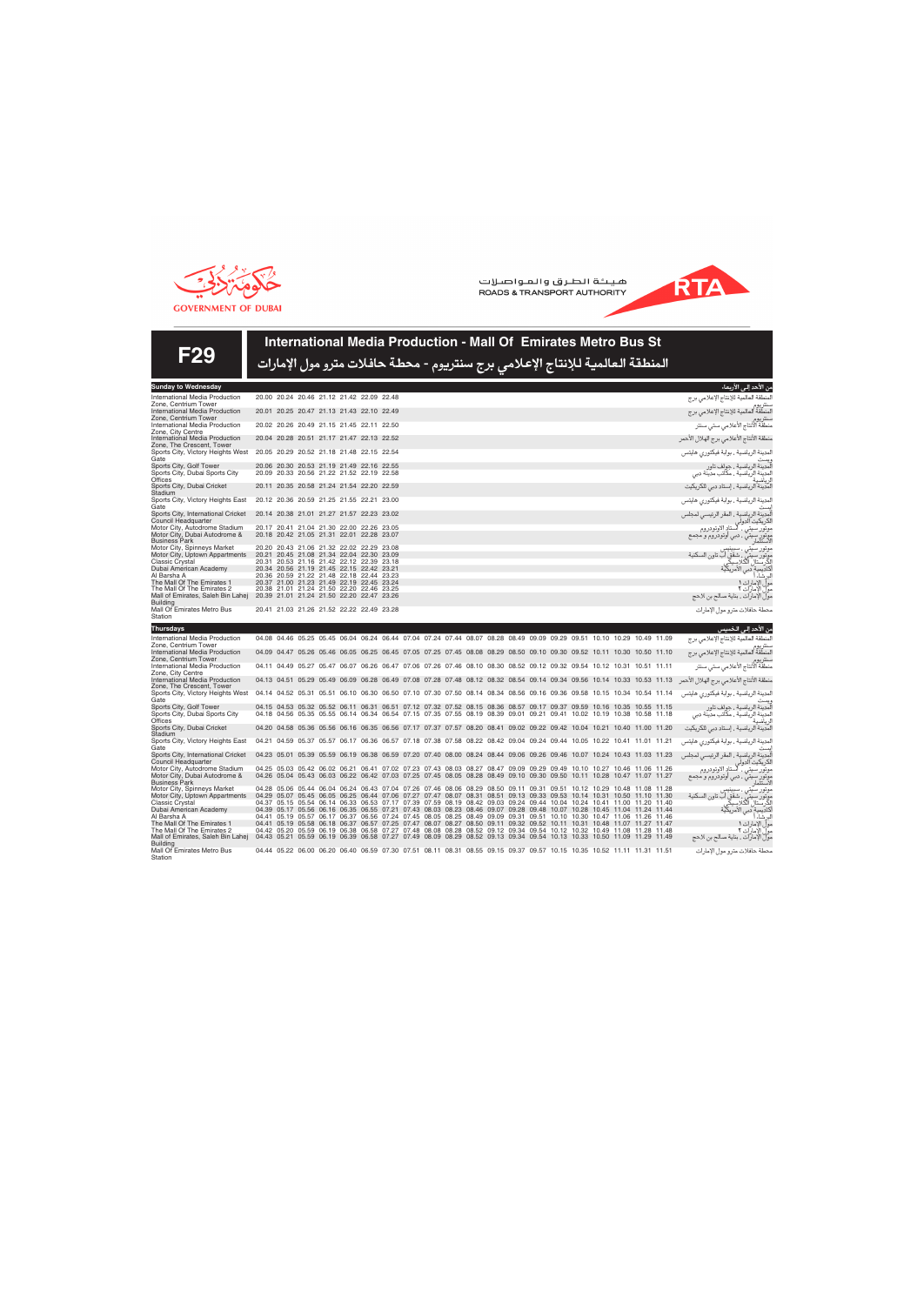

**F29**

هيئة الطرق والمواصلات ROADS & TRANSPORT AUTHORITY



## **International Media Production - Mall Of Emirates Metro Bus St** المنطقة العالمية لـلإنتاج الإعـلامى برج سنتريوم - محطـة حافـلات مترو مول الإمارات

| <b>Sunday to Wednesday</b>                                                                                                                                                              |                                                                                        |  |  |  |  |  |  |                                                                                                                                                                                                                                                    |  |  |                                                                                                                         | من الأحد إل <i>ى</i> الأربعاء                                                                                         |                 |
|-----------------------------------------------------------------------------------------------------------------------------------------------------------------------------------------|----------------------------------------------------------------------------------------|--|--|--|--|--|--|----------------------------------------------------------------------------------------------------------------------------------------------------------------------------------------------------------------------------------------------------|--|--|-------------------------------------------------------------------------------------------------------------------------|-----------------------------------------------------------------------------------------------------------------------|-----------------|
| International Media Production<br>Zone, Centrium Tower                                                                                                                                  | 20.00 20.24 20.46 21.12 21.42 22.09 22.48                                              |  |  |  |  |  |  |                                                                                                                                                                                                                                                    |  |  |                                                                                                                         |                                                                                                                       |                 |
| <b>International Media Production</b><br>Zone, Centrium Tower                                                                                                                           | 20.01 20.25 20.47 21.13 21.43 22.10 22.49                                              |  |  |  |  |  |  |                                                                                                                                                                                                                                                    |  |  |                                                                                                                         | سنتريوم<br>المنطقة العالمية للإنتاج الإعلامي برج                                                                      |                 |
| International Media Production<br>Zone, City Centre                                                                                                                                     | 20.02 20.26 20.49 21.15 21.45 22.11 22.50                                              |  |  |  |  |  |  |                                                                                                                                                                                                                                                    |  |  |                                                                                                                         | سنتريوم.<br>منطقة الأنتاج الأعلامي ستي سنتر                                                                           |                 |
| International Media Production<br>Zone, The Crescent, Tower                                                                                                                             | 20.04 20.28 20.51 21.17 21.47 22.13 22.52                                              |  |  |  |  |  |  |                                                                                                                                                                                                                                                    |  |  |                                                                                                                         | منطقة الأنتاج الأعلامي برج الهلال الأحمر                                                                              |                 |
| Sports City, Victory Heights West 20.05 20.29 20.52 21.18 21.48 22.15 22.54<br>Gate                                                                                                     |                                                                                        |  |  |  |  |  |  |                                                                                                                                                                                                                                                    |  |  |                                                                                                                         | لمدينة الرياضية ، بوابة فيكتوري هايتس                                                                                 |                 |
| Sports City, Golf Tower<br>Sports City, Dubai Sports City<br>Offices                                                                                                                    | 20.06 20.30 20.53 21.19 21.49 22.16 22.55<br>20.09 20.33 20.56 21.22 21.52 22.19 22.58 |  |  |  |  |  |  |                                                                                                                                                                                                                                                    |  |  |                                                                                                                         | ويست<br>المدينة الرياضية ، جولف تاور<br>لمدينة الرياضية , مكاتب مدينة دبي                                             | لر ياضية        |
| Sports City, Dubai Cricket<br>Stadium                                                                                                                                                   | 20.11 20.35 20.58 21.24 21.54 22.20 22.59                                              |  |  |  |  |  |  |                                                                                                                                                                                                                                                    |  |  |                                                                                                                         | لمّدينة الرياضية ، إستاد دبي للكريكيت                                                                                 |                 |
| Sports City, Victory Heights East<br>Gate                                                                                                                                               | 20.12 20.36 20.59 21.25 21.55 22.21 23.00                                              |  |  |  |  |  |  |                                                                                                                                                                                                                                                    |  |  |                                                                                                                         | المدينة الرياضية ، بوابة فيكتوري هايتس                                                                                |                 |
| Sports City, International Cricket<br>Council Headquarter                                                                                                                               | 20.14 20.38 21.01 21.27 21.57 22.23 23.02                                              |  |  |  |  |  |  |                                                                                                                                                                                                                                                    |  |  |                                                                                                                         | ايست<br>ألمدينة الرياضية ، المقر الرئيسي لمجلس                                                                        |                 |
| Motor City, Autodrome Stadium<br>Motor City, Dubai Autodrome &<br><b>Business Park</b>                                                                                                  | 20.17 20.41 21.04 21.30 22.00 22.26 23.05<br>20.18 20.42 21.05 21.31 22.01 22.28 23.07 |  |  |  |  |  |  |                                                                                                                                                                                                                                                    |  |  |                                                                                                                         | الكريكيت آلدولي<br>الكريكيت آلدولي<br>موتور سيتي ، استاد الاوتودروم<br>موتور سيتي ، دبي أوتودروم و مجمع<br>الاستثمار  |                 |
| Motor City, Spinneys Market<br>Motor City, Uptown Appartments                                                                                                                           | 20.20 20.43 21.06 21.32 22.02 22.29 23.08<br>20.21 20.45 21.08 21.34 22.04 22.30 23.09 |  |  |  |  |  |  |                                                                                                                                                                                                                                                    |  |  |                                                                                                                         | موتور سيتي ، سبينيس<br>موتور سيتي ، شققِ أب تاون السكنية                                                              |                 |
| Classic Crystal<br>Dubai American Academy                                                                                                                                               | 20.31 20.53 21.16 21.42 22.12 22.39 23.18<br>20.34 20.56 21.19 21.45 22.15 22.42 23.21 |  |  |  |  |  |  |                                                                                                                                                                                                                                                    |  |  |                                                                                                                         | موّتور سيتيّ ، شقق اب<br>الكرستال الكلاسيكي<br>أكاديمية دبي الأمريكية                                                 |                 |
| Al Barsha A                                                                                                                                                                             | 20.36 20.59 21.22 21.48 22.18 22.44 23.23                                              |  |  |  |  |  |  |                                                                                                                                                                                                                                                    |  |  |                                                                                                                         |                                                                                                                       | لبر شاء أ       |
| The Mall Of The Emirates 1                                                                                                                                                              | 20.37 21.00 21.23 21.49 22.19 22.45 23.24                                              |  |  |  |  |  |  |                                                                                                                                                                                                                                                    |  |  |                                                                                                                         |                                                                                                                       |                 |
| The Mall Of The Emirates 2<br>Mall of Emirates, Saleh Bin Lahej                                                                                                                         | 20.38 21.01 21.24 21.50 22.20 22.46 23.25<br>20.39 21.01 21.24 21.50 22.20 22.47 23.26 |  |  |  |  |  |  |                                                                                                                                                                                                                                                    |  |  |                                                                                                                         | .<br>مول الإمارات ٢<br>مول الإمارات ٢<br>مول الإمارات , بناية صالح بن الاحج                                           |                 |
| Building<br>Mall Of Emirates Metro Bus<br>Station                                                                                                                                       | 20.41 21.03 21.26 21.52 22.22 22.49 23.28                                              |  |  |  |  |  |  |                                                                                                                                                                                                                                                    |  |  |                                                                                                                         | محطة حافلات مترو مول الإمارات                                                                                         |                 |
| Thursdays                                                                                                                                                                               |                                                                                        |  |  |  |  |  |  |                                                                                                                                                                                                                                                    |  |  |                                                                                                                         | من الأحد إلى الخميس                                                                                                   |                 |
| International Media Production<br>Zone, Centrium Tower                                                                                                                                  |                                                                                        |  |  |  |  |  |  | 04.08 04.46 05.25 05.45 06.04 06.24 06.44 07.04 07.24 07.44 08.07 08.28 08.49 09.09 09.29 09.51 10.10 10.29 10.49 11.09                                                                                                                            |  |  |                                                                                                                         | المنطقة العالمية للإنتاج الإعلامي برج                                                                                 |                 |
| <b>International Media Production</b><br>Zone, Centrium Tower                                                                                                                           |                                                                                        |  |  |  |  |  |  | 04.09 04.47 05.26 05.46 06.05 06.25 06.45 07.05 07.25 07.45 08.08 08.29 08.50 09.10 09.30 09.52 10.11 10.30 10.50 11.10                                                                                                                            |  |  |                                                                                                                         | سنتريوم<br>المنطقة العالمية للإنتاج الإعلامي برج                                                                      |                 |
| International Media Production<br>Zone, City Centre                                                                                                                                     |                                                                                        |  |  |  |  |  |  | 04.11 04.49 05.27 05.47 06.07 06.26 06.47 07.06 07.26 07.46 08.10 08.30 08.52 09.12 09.32 09.54 10.12 10.31 10.51 11.11                                                                                                                            |  |  |                                                                                                                         | سنتريوم<br>منطقة الأنتاج الأعلامي ستي سنتر                                                                            |                 |
| <b>International Media Production</b><br>Zone, The Crescent, Tower                                                                                                                      |                                                                                        |  |  |  |  |  |  |                                                                                                                                                                                                                                                    |  |  | 04.13 04.51 05.29 05.49 06.09 06.28 06.49 07.08 07.28 07.48 08.12 08.32 08.54 09.14 09.34 09.56 10.14 10.33 10.53 11.13 | منطقة الأنتاج الأعلامي برج الهلال الأحمر                                                                              |                 |
| Sports City, Victory Heights West 04.14 04.52 05.31 05.51 06.10 06.30 06.50 07.10 07.30 07.50 08.14 08.34 08.56 09.16 09.36 09.58 10.15 10.34 10.54 11.14<br>Gate                       |                                                                                        |  |  |  |  |  |  |                                                                                                                                                                                                                                                    |  |  |                                                                                                                         | لمدينة الرياضية ، بوابة فيكتوري هايتس                                                                                 |                 |
| Sports City, Golf Tower<br>Sports City, Dubai Sports City<br>Offices                                                                                                                    |                                                                                        |  |  |  |  |  |  | 04.15 04.53 05.32 05.52 06.11 06.31 06.51 07.12 07.32 07.52 08.15 08.36 08.57 09.17 09.37 09.59 10.16 10.35 10.55 11.15<br>04.18 04.56 05.35 05.55 06.14 06.34 06.54 07.15 07.35 07.55 08.19 08.39 09.01 09.21 09.41 10.02 10.19 10.38 10.58 11.18 |  |  |                                                                                                                         | ويست<br>المدينة الرياضية ، جولف تاور<br>لمدينة الرياضية ، مكاتب مدينة دبي                                             | لر ياضية        |
| Sports City, Dubai Cricket<br>Stadium                                                                                                                                                   |                                                                                        |  |  |  |  |  |  | 04.20 04.58 05.36 05.56 06.16 06.35 06.56 07.17 07.37 07.57 08.20 08.41 09.02 09.42 09.42 10.04 10.21 10.40 11.00 11.20                                                                                                                            |  |  |                                                                                                                         | لمدينة الرياضية ، إستاد دبي للكريكيت                                                                                  |                 |
| Sports City, Victory Heights East<br>Gate                                                                                                                                               |                                                                                        |  |  |  |  |  |  | 04.21 04.59 05.37 05.57 06.17 06.36 06.57 07.18 07.38 07.58 08.22 08.42 09.04 09.24 09.44 10.05 10.22 10.41 11.01 11.21                                                                                                                            |  |  |                                                                                                                         | المدينة الرياضية ، بوابة فيكتوري هايتس                                                                                |                 |
| Sports City, International Cricket<br>Council Headquarter                                                                                                                               |                                                                                        |  |  |  |  |  |  | 04.23 05.01 05.39 05.59 06.19 06.38 06.59 07.20 07.40 08.00 08.24 08.44 09.06 09.26 09.46 10.07 10.24 10.43 11.03 11.23                                                                                                                            |  |  |                                                                                                                         | ليست<br>المدينة الرياضية ، المقر الرئيسي لمجلس                                                                        |                 |
| Motor City, Autodrome Stadium<br>Motor City, Dubai Autodrome &<br><b>Business Park</b>                                                                                                  |                                                                                        |  |  |  |  |  |  | 04.25 05.03 05.42 06.02 06.21 06.41 07.02 07.23 07.43 08.03 08.27 08.47 09.09 09.29 09.49 10.10 10.27 10.46 11.06 11.26<br>04.26 05.04 05.43 06.03 06.22 06.42 07.03 07.25 07.45 08.05 08.28 08.49 09.10 09.30 09.50 10.11 10.28 10.47 11.07 11.27 |  |  |                                                                                                                         | الكريكيت آلدولي<br>الكريكيت آلدولي<br>موتور سيتي ، استاد الاوتودروم<br>موتور سيتيّ ، دبي اوتودروم و مجمع<br>الاستثمار |                 |
| Motor City, Spinneys Market<br>Motor City, Uptown Appartments                                                                                                                           |                                                                                        |  |  |  |  |  |  | 04.28 05.06 05.44 06.04 06.24 06.43 07.04 07.26 07.46 08.06 08.29 08.50 09.11 09.31 09.51 10.12 10.29 10.48 11.08 11.28<br>04.29 05.07 05.45 06.05 06.25 06.44 07.06 07.27 07.47 08.07 08.31 08.51 09.13 09.33 09.53 10.14 10.31 10.50 11.10 11.30 |  |  |                                                                                                                         | موتور سيتي ، سبينيس<br>، شقق أب تاون السكنية                                                                          |                 |
| <b>Classic Crystal</b>                                                                                                                                                                  |                                                                                        |  |  |  |  |  |  | 04.37 05.15 05.54 06.14 06.33 06.53 07.17 07.39 07.59 08.19 08.42 09.03 09.24 09.44 10.04 10.24 10.41 11.00 11.20 11.40                                                                                                                            |  |  |                                                                                                                         | مونور سيني ، شقق<br>لكرستال الكلاسيك                                                                                  |                 |
| Dubai American Academy<br>Al Barsha A                                                                                                                                                   |                                                                                        |  |  |  |  |  |  | 04.39 05.17 05.56 06.16 06.35 06.55 07.21 07.43 08.03 08.23 08.46 09.07 09.28 09.48 10.07 10.28 10.45 11.04 11.24 11.44<br>04.41 05.19 05.57 06.17 06.37 06.56 07.24 07.45 08.05 08.25 08.49 09.09 09.31 09.51 10.10 10.30 10.47 11.06 11.26 11.46 |  |  |                                                                                                                         | أكاديمية دبي الأمريكية                                                                                                | لبر شاء أ       |
| The Mall Of The Emirates 1                                                                                                                                                              |                                                                                        |  |  |  |  |  |  | 04.41 05.19 05.58 06.18 06.37 06.57 07.25 07.47 08.07 08.27 08.50 09.11 09.32 09.52 10.11 10.31 10.48 11.07 11.27 11.47                                                                                                                            |  |  |                                                                                                                         |                                                                                                                       | مولّ الإمارات ١ |
| The Mall Of The Emirates 2<br>Mall of Emirates, Saleh Bin Lahej 04.43 05.21 05.59 06.19 06.39 06.58 07.27 07.49 08.09 08.29 08.52 09.13 09.34 09.54 10.13 10.33 10.50 11.09 11.29 11.49 |                                                                                        |  |  |  |  |  |  | 04.42 05.20 05.59 06.19 06.38 06.58 07.27 07.48 08.08 08.28 08.52 09.12 09.34 09.54 10.12 10.32 10.49 11.08 11.28 11.48                                                                                                                            |  |  |                                                                                                                         | مول الإمارات ٢<br>مول الإمارات , بناية صالح بن لاحج                                                                   |                 |
| Building<br>Mall Of Emirates Metro Bus<br>Station                                                                                                                                       |                                                                                        |  |  |  |  |  |  | 04.44 05.22 06.00 06.20 06.40 06.59 07.30 07.51 08.11 08.31 08.55 09.15 09.37 09.57 10.15 10.35 10.52 11.11 11.31 11.51                                                                                                                            |  |  |                                                                                                                         | محطة حافلات مترو مول الإمارات                                                                                         |                 |

**RTA**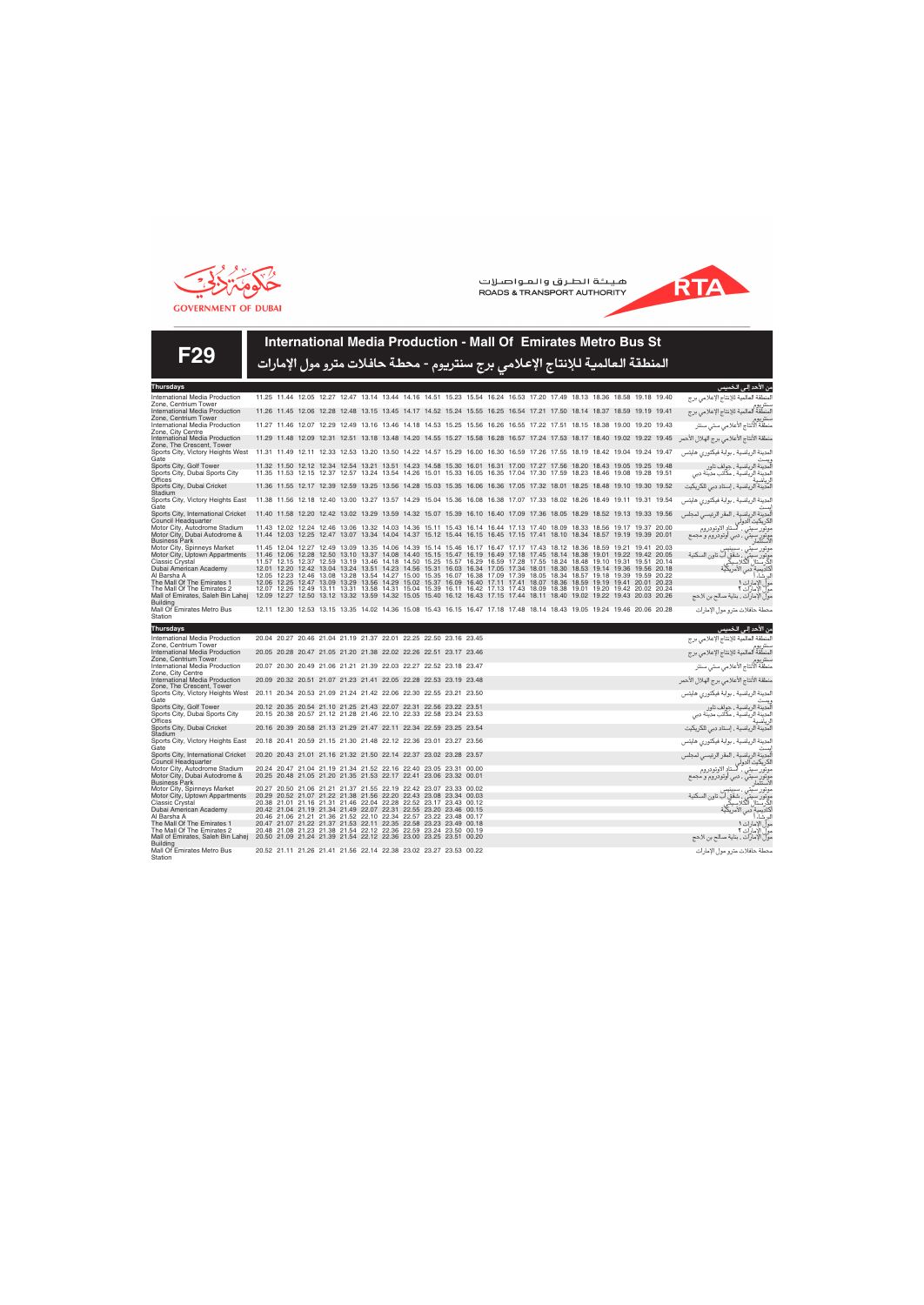



من **الأحد إلى الخميس** 

**F29 International Media Production - Mall Of Emirates Metro Bus St** المنطقة العالمية لـلإنتاج الإعـلامى برج سنتريوم - محطـة حافـلات مترو مول الإمارات **Thursdays** International Media Production Zone, Centrium Tower International Media Production Zone, Centrium Tower 11.25 11.26 11.44 11.45 12.05 12.06 12.27 12.28 12.47 12.48 13.14 13.15 13.44 13.45 14.16 14.17 14.51 14.52 15.23 15.24 15.54 15.55 16.24 16.25 16.53 16.54 17.20 17.21 17.49 17.50 18.13 18.14 18.36 18.37 18.58 18.59 19.18 19.19 19.40 19.41 المنطقة العالمية للإنتاج الإعلامي برج<br>سنتريوم<br>المنطقة العالمية للإنتاج الإعلامي برج<br>سنتريوم

| zone. Centrium Tower                                               |                                                                                                                                                                                                                                                    |  |  |  |  |  |  |  |  |  |                                                |                                     |
|--------------------------------------------------------------------|----------------------------------------------------------------------------------------------------------------------------------------------------------------------------------------------------------------------------------------------------|--|--|--|--|--|--|--|--|--|------------------------------------------------|-------------------------------------|
| International Media Production<br>Zone, City Centre                | 11.27 11.46 12.07 12.29 12.49 13.16 13.46 14.18 14.53 15.25 15.56 16.26 16.55 17.22 17.51 18.15 18.38 19.00 19.20 19.43                                                                                                                            |  |  |  |  |  |  |  |  |  | سنتريوم<br>منطقة الأنتاج الأعلامي ستي سنتر     |                                     |
| <b>International Media Production</b><br>Zone, The Crescent, Tower | 11.29 11.48 12.09 12.31 12.51 13.18 13.48 14.20 14.55 15.27 15.58 16.28 16.57 17.24 17.53 18.17 18.40 19.02 19.22 19.45                                                                                                                            |  |  |  |  |  |  |  |  |  | منطقة الأنتاج الأعلامي برج الهلال الأحمر       |                                     |
| Sports City, Victory Heights West<br>Gate                          | 11.31 11.49 12.11 12.33 12.53 13.20 13.50 14.22 14.57 15.29 16.00 16.30 16.59 17.26 17.55 18.19 18.42 19.04 19.24 19.47                                                                                                                            |  |  |  |  |  |  |  |  |  | المدينة الرياضية ، بوابة فيكتوري هايتس         |                                     |
| Sports City, Golf Tower                                            | 11.32 11.50 12.12 12.34 12.54 13.21 13.51 14.23 14.58 15.30 16.01 16.31 17.00 17.27 17.56 18.20 18.43 19.05 19.25 19.48                                                                                                                            |  |  |  |  |  |  |  |  |  |                                                | ويست<br>لمدينة الرياضية ، جولف تاور |
| Sports City, Dubai Sports City<br>Offices                          | 11.35 11.53 12.15 12.37 12.57 13.24 13.54 14.26 15.01 15.33 16.05 16.35 17.04 17.30 17.59 18.23 18.46 19.08 19.28 19.51                                                                                                                            |  |  |  |  |  |  |  |  |  | المدينة الرياضية ، مكاتب مدينة دبي             | لرياضية                             |
| Sports City, Dubai Cricket<br>Stadium                              | 11.36 11.55 12.17 12.39 12.59 13.25 13.56 14.28 15.03 15.35 16.06 16.36 17.05 17.32 18.01 18.25 18.48 19.10 19.30 19.52                                                                                                                            |  |  |  |  |  |  |  |  |  | المدينة الرياضية ، إستاد دبي للكريكيت          |                                     |
| Sports City, Victory Heights East<br>Gate                          | 11.38 11.56 12.18 12.40 13.00 13.27 13.57 14.29 15.04 15.36 16.08 16.38 17.07 17.33 18.02 18.26 18.49 19.11 19.31 19.54                                                                                                                            |  |  |  |  |  |  |  |  |  | المدينة الرياضية ، بوابة فيكتوري هايتس         |                                     |
| Sports City, International Cricket<br>Council Headquarter          | 11.40 11.58 12.20 12.42 13.02 13.29 13.59 14.32 15.07 15.39 16.10 16.40 17.09 17.36 18.05 18.29 18.52 19.13 19.33 19.56                                                                                                                            |  |  |  |  |  |  |  |  |  | ايست<br>ألمدينة الرياضية ، المقر الرئيسي لمجلس | الكريكيت الدولى                     |
| Motor City, Autodrome Stadium                                      | 11.43 12.02 12.24 12.46 13.06 13.32 14.03 14.36 15.11 15.43 16.14 16.44 17.13 17.40 18.09 18.33 18.56 19.17 19.37 20.00                                                                                                                            |  |  |  |  |  |  |  |  |  | أستاد الاوتودروم                               | موتور سيتى ،                        |
| Motor City, Dubai Autodrome &<br><b>Business Park</b>              | 11.44 12.03 12.25 12.47 13.07 13.34 14.04 14.37 15.12 15.44 16.15 16.45 17.15 17.41 18.10 18.34 18.57 19.19 19.39 20.01                                                                                                                            |  |  |  |  |  |  |  |  |  | موتور سیتی ، دبی اوتودروم و مجمع               | لاستثمار                            |
| Motor City, Spinneys Market                                        | 11.45 12.04 12.27 12.49 13.09 13.35 14.06 14.39 15.14 15.46 16.17 16.47 17.17 17.43 18.12 18.36 18.59 19.21 19.41 20.03                                                                                                                            |  |  |  |  |  |  |  |  |  |                                                | موتور سيتى ،                        |
| Motor City, Uptown Appartments                                     | 11.46 12.06 12.28 12.50 13.10 13.37 14.08 14.40 15.15 15.47 16.19 16.49 17.18 17.45 18.14 18.38 19.01 19.22 19.42 20.05                                                                                                                            |  |  |  |  |  |  |  |  |  | موتور سيتيٍّ ، شقق أبٍّ تاون السكنية           |                                     |
| Classic Crystal                                                    | 11.57 12.15 12.37 12.59 13.19 13.46 14.18 14.50 15.25 15.57 16.29 16.59 17.28 17.55 18.24 18.48 19.10 19.31 19.51 20.14                                                                                                                            |  |  |  |  |  |  |  |  |  |                                                | لكرستال الكلاسيك                    |
| Dubai American Academy<br>Al Barsha A                              | 12.01 12.20 12.42 13.04 13.24 13.51 14.23 14.56 15.31 16.03 16.34 17.05 17.34 18.01 18.30 18.53 19.14 19.36 19.56 20.18<br>12.05 12.23 12.46 13.08 13.28 13.54 14.27 15.00 15.35 16.07 16.38 17.09 17.39 18.05 18.34 18.57 19.18 19.39 19.59 20.22 |  |  |  |  |  |  |  |  |  |                                                | أكاديمية دبي الأمريكية<br>لىر شاء أ |
| The Mall Of The Emirates 1                                         | 12.06 12.25 12.47 13.09 13.29 13.56 14.29 15.02 15.37 16.09 16.40 17.11 17.41 18.07 18.36 18.59 19.19 19.41 20.01 20.23                                                                                                                            |  |  |  |  |  |  |  |  |  |                                                |                                     |
| The Mall Of The Emirates 2                                         | 12.07 12.26 12.49 13.11 13.31 13.58 14.31 15.04 15.39 16.11 16.42 17.13 17.43 18.09 18.38 19.01 19.20 19.42 20.02 20.24                                                                                                                            |  |  |  |  |  |  |  |  |  |                                                | مولّ الإمارات ١<br>مول الإمارات ٢   |
| Mall of Emirates, Saleh Bin Lahej<br>Building                      | 12.09 12.27 12.50 13.12 13.32 13.59 14.32 15.05 15.40 16.12 16.43 17.15 17.44 18.11 18.40 19.02 19.22 19.43 20.03 20.26                                                                                                                            |  |  |  |  |  |  |  |  |  | مولِّ الإمارات ، بناية صالح بن لاحج            |                                     |
| Mall Of Emirates Metro Bus<br>Station                              | 12.11 12.30 12.53 13.15 13.35 14.02 14.36 15.08 15.43 16.15 16.47 17.18 17.48 18.14 18.43 19.05 19.24 19.46 20.06 20.28                                                                                                                            |  |  |  |  |  |  |  |  |  | محطة حافلات مترو مول الإمارات                  |                                     |
| Thursdovs                                                          |                                                                                                                                                                                                                                                    |  |  |  |  |  |  |  |  |  |                                                | $2.91 - 91.259$                     |

| <b>Thursdays</b>                                                                                            |                                                                   |  |                                                                   |  |  |  |  | من الأحد إل <i>ى</i> الخميس                                                                                                      |                 |
|-------------------------------------------------------------------------------------------------------------|-------------------------------------------------------------------|--|-------------------------------------------------------------------|--|--|--|--|----------------------------------------------------------------------------------------------------------------------------------|-----------------|
| International Media Production<br>Zone, Centrium Tower                                                      |                                                                   |  | 20.04 20.27 20.46 21.04 21.19 21.37 22.01 22.25 22.50 23.16 23.45 |  |  |  |  | _____<br>المنطقة العالمية للإنتاج الإعلامي برج                                                                                   |                 |
| International Media Production<br>Zone, Centrium Tower                                                      |                                                                   |  | 20.05 20.28 20.47 21.05 21.20 21.38 22.02 22.26 22.51 23.17 23.46 |  |  |  |  | سنتريوم<br>المنطقة العالمية للإنتاج الإعلامي برج                                                                                 |                 |
| <b>International Media Production</b><br>Zone, City Centre                                                  |                                                                   |  | 20.07 20.30 20.49 21.06 21.21 21.39 22.03 22.27 22.52 23.18 23.47 |  |  |  |  | سنتريوم.<br>منطقة الأنتاج الأعلامي ستي سنتر                                                                                      |                 |
| International Media Production<br>Zone, The Crescent, Tower                                                 |                                                                   |  | 20.09 20.32 20.51 21.07 21.23 21.41 22.05 22.28 22.53 23.19 23.48 |  |  |  |  | منطقة الأنتاج الأعلامي برج الهلال الأحمر                                                                                         |                 |
| Sports City, Victory Heights West 20.11 20.34 20.53 21.09 21.24 21.42 22.06 22.30 22.55 23.21 23.50<br>Gate |                                                                   |  |                                                                   |  |  |  |  | لمدينة الرياضية ، بوابة فيكتوري هايتس<br>-                                                                                       |                 |
| Sports City, Golf Tower                                                                                     |                                                                   |  | 20.12 20.35 20.54 21.10 21.25 21.43 22.07 22.31 22.56 23.22 23.51 |  |  |  |  |                                                                                                                                  |                 |
| Sports City, Dubai Sports City<br><b>Offices</b>                                                            |                                                                   |  | 20.15 20.38 20.57 21.12 21.28 21.46 22.10 22.33 22.58 23.24 23.53 |  |  |  |  | بيست<br>أهدينة الرياضية ، جولف تاور<br>أهدينة الرياضية ، جولف تاور<br>لرياضية<br>لرياضية<br>لمدينة الرياضية ، إستاد دبي للكريكيت |                 |
| Sports City, Dubai Cricket<br>Stadium                                                                       |                                                                   |  | 20.16 20.39 20.58 21.13 21.29 21.47 22.11 22.34 22.59 23.25 23.54 |  |  |  |  |                                                                                                                                  |                 |
| Sports City, Victory Heights East 20.18 20.41 20.59 21.15 21.30 21.48 22.12 22.36 23.01 23.27 23.56<br>Gate |                                                                   |  |                                                                   |  |  |  |  | لمدينة الرياضية ، بوابة فيكتوري هايتس                                                                                            |                 |
| Sports City, International Cricket<br>Council Headquarter                                                   | 20.20 20.43 21.01 21.16 21.32 21.50 22.14 22.37 23.02 23.28 23.57 |  |                                                                   |  |  |  |  | ايست<br>ألمِدينة الرياضية ، المقر الرئيسي لمجلس                                                                                  | الكريكيت الدولى |
| Motor City, Autodrome Stadium                                                                               | 20.24 20.47 21.04 21.19 21.34 21.52 22.16 22.40 23.05 23.31 00.00 |  |                                                                   |  |  |  |  | أستاد الاوتودروم                                                                                                                 | موتور سيتى ،    |
| Motor City, Dubai Autodrome &<br><b>Business Park</b>                                                       |                                                                   |  | 20.25 20.48 21.05 21.20 21.35 21.53 22.17 22.41 23.06 23.32 00.01 |  |  |  |  | موّتور سيتي ، دبي أوتودروّم و مجمع<br>الاستثمار                                                                                  |                 |
| Motor City, Spinneys Market                                                                                 |                                                                   |  | 20.27 20.50 21.06 21.21 21.37 21.55 22.19 22.42 23.07 23.33 00.02 |  |  |  |  |                                                                                                                                  |                 |
| Motor City, Uptown Appartments                                                                              |                                                                   |  | 20.29 20.52 21.07 21.22 21.38 21.56 22.20 22.43 23.08 23.34 00.03 |  |  |  |  | موتور سيتي، شقق أب تاون السكنية                                                                                                  |                 |
| <b>Classic Crystal</b>                                                                                      |                                                                   |  | 20.38 21.01 21.16 21.31 21.46 22.04 22.28 22.52 23.17 23.43 00.12 |  |  |  |  | كرستال الكلاسيكي.<br>كاديمية دبي الأمريكية<br>كاديمية دبي الأمريكية<br>لبرشاء أ                                                  |                 |
| Dubai American Academy                                                                                      |                                                                   |  | 20.42 21.04 21.19 21.34 21.49 22.07 22.31 22.55 23.20 23.46 00.15 |  |  |  |  |                                                                                                                                  |                 |
| Al Barsha A                                                                                                 |                                                                   |  | 20.46 21.06 21.21 21.36 21.52 22.10 22.34 22.57 23.22 23.48 00.17 |  |  |  |  |                                                                                                                                  |                 |
| The Mall Of The Emirates 1                                                                                  |                                                                   |  | 20.47 21.07 21.22 21.37 21.53 22.11 22.35 22.58 23.23 23.49 00.18 |  |  |  |  |                                                                                                                                  |                 |
| The Mall Of The Emirates 2                                                                                  |                                                                   |  | 20.48 21.08 21.23 21.38 21.54 22.12 22.36 22.59 23.24 23.50 00.19 |  |  |  |  | مول الإمارات ٢<br>مول الإمارات , بناية صالح بن الاحج ا                                                                           |                 |
| Mall of Emirates, Saleh Bin Lahej<br><b>Building</b>                                                        |                                                                   |  | 20.50 21.09 21.24 21.39 21.54 22.12 22.36 23.00 23.25 23.51 00.20 |  |  |  |  |                                                                                                                                  |                 |
| Mall Of Emirates Metro Bus<br><b>Station</b>                                                                |                                                                   |  | 20.52 21.11 21.26 21.41 21.56 22.14 22.38 23.02 23.27 23.53 00.22 |  |  |  |  | محطة حافلات مترو مول الإمارات                                                                                                    |                 |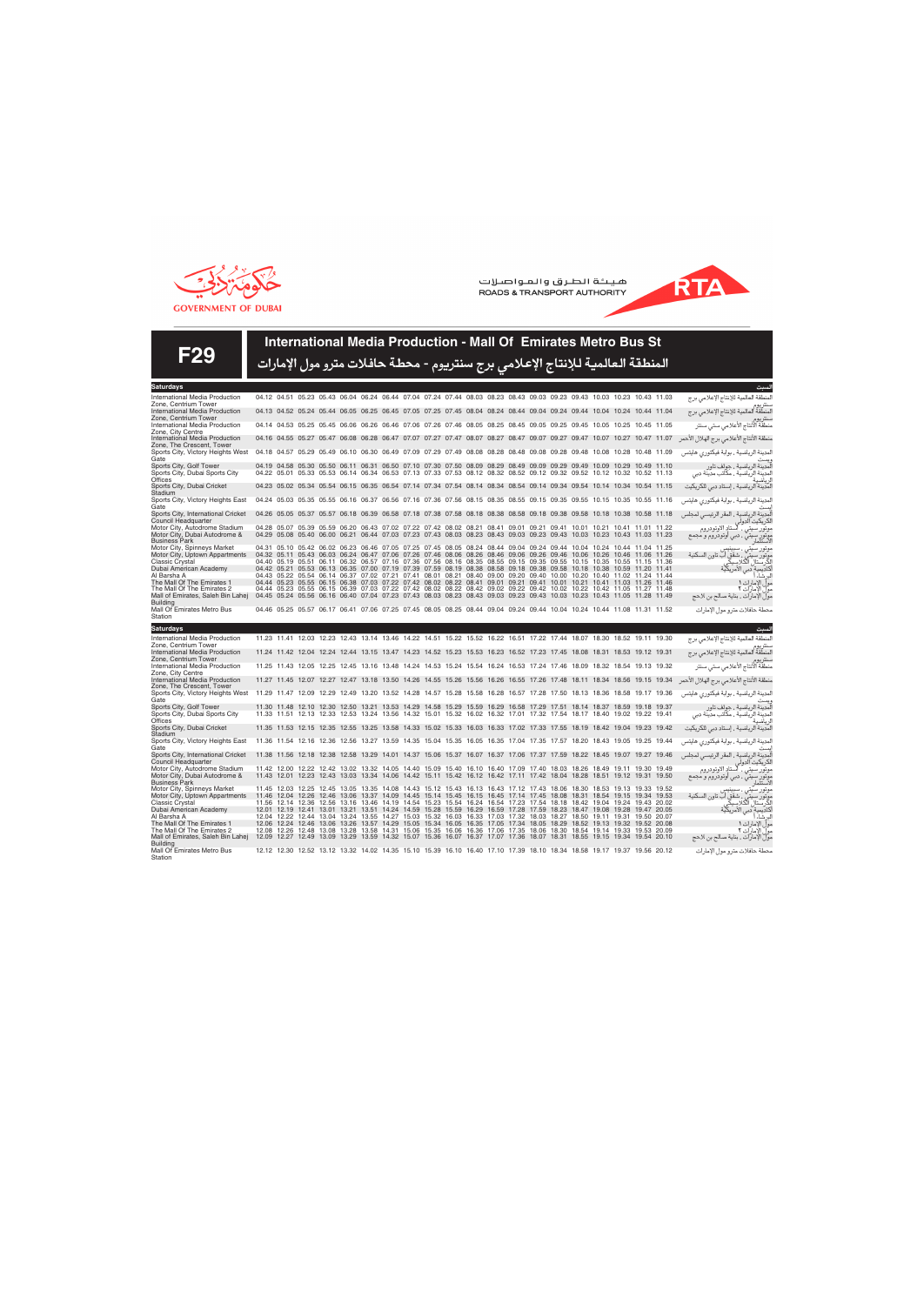

**F29**

Building Mall Of Emirates Metro Bus Station

هيئة الطرق والمواصلات ROADS & TRANSPORT AUTHORITY



| I LJ                                                                                                                                                              | المنطقة العالمية للإنتاج الإعلامي برج سنتريوم - محطة حافلات مترو مول الإمارات                                                                                                                                                                                                                                                                                                                                                                                                                            |  |  |  |  |  |  |  |  |  |                                                                                                                 |
|-------------------------------------------------------------------------------------------------------------------------------------------------------------------|----------------------------------------------------------------------------------------------------------------------------------------------------------------------------------------------------------------------------------------------------------------------------------------------------------------------------------------------------------------------------------------------------------------------------------------------------------------------------------------------------------|--|--|--|--|--|--|--|--|--|-----------------------------------------------------------------------------------------------------------------|
| <b>Saturdays</b>                                                                                                                                                  |                                                                                                                                                                                                                                                                                                                                                                                                                                                                                                          |  |  |  |  |  |  |  |  |  | السبت                                                                                                           |
| International Media Production<br>Zone, Centrium Tower                                                                                                            | 04.12 04.51 05.23 05.43 06.04 06.24 06.44 07.04 07.24 07.44 08.03 08.23 08.43 09.03 09.23 09.43 10.03 10.23 10.43 11.03                                                                                                                                                                                                                                                                                                                                                                                  |  |  |  |  |  |  |  |  |  | المنطقة العالمية للإنتاج الإعلامي برج                                                                           |
| International Media Production<br>Zone, Centrium Tower                                                                                                            | 04.13 04.52 05.24 05.44 06.05 06.25 06.45 07.05 07.25 07.45 08.04 08.24 08.44 09.04 09.24 09.44 10.04 10.24 10.44 11.04                                                                                                                                                                                                                                                                                                                                                                                  |  |  |  |  |  |  |  |  |  | سنتريوم<br>المنطقة العالمية للإنتاج الإعلامي برج                                                                |
| International Media Production<br>Zone, City Centre                                                                                                               | 04.14 04.53 05.25 05.45 06.06 06.26 06.46 07.06 07.26 07.46 08.05 08.25 08.45 09.05 09.25 09.45 10.05 10.25 10.45 11.05                                                                                                                                                                                                                                                                                                                                                                                  |  |  |  |  |  |  |  |  |  | سنتريوم<br>منطقة الأنتاج الأعلامي ستي سنتر                                                                      |
| <b>International Media Production</b><br>Zone, The Crescent, Tower                                                                                                | 04.16 04.55 05.27 05.47 06.08 06.28 06.47 07.07 07.27 07.47 08.07 08.27 08.47 09.07 09.27 09.47 10.07 10.27 10.47 11.07                                                                                                                                                                                                                                                                                                                                                                                  |  |  |  |  |  |  |  |  |  | منطقة الأنتاج الأعلامي برج الهلال الأحمر                                                                        |
| Sports City, Victory Heights West 04.18 04.57 05.29 05.49 06.10 06.30 06.49 07.09 07.29 07.49 08.08 08.28 08.48 09.08 09.28 09.48 10.08 10.28 10.48 11.09<br>Gate |                                                                                                                                                                                                                                                                                                                                                                                                                                                                                                          |  |  |  |  |  |  |  |  |  | لمدينة الرياضية ، بوابة فيكتوري هايتس<br>ويست<br>لمدينة الرياضية ، جولف تاور                                    |
| Sports City, Golf Tower<br>Sports City, Dubai Sports City<br>Offices                                                                                              | 04.19 04.58 05.30 05.50 06.11 06.31 06.50 07.10 07.30 07.50 08.09 08.29 08.49 09.09 09.29 09.49 10.09 10.29 10.49 11.10<br>04.22 05.01 05.33 05.53 06.14 06.34 06.53 07.13 07.33 07.53 08.12 08.32 08.52 09.12 09.32 09.52 10.12 10.32 10.52 11.13                                                                                                                                                                                                                                                       |  |  |  |  |  |  |  |  |  | لمدينة الرياضية ، مكاتب مدينة دبي<br>لر ياضية                                                                   |
| Sports City, Dubai Cricket<br>Stadium                                                                                                                             | 04.23 05.02 05.34 05.54 06.15 06.35 06.54 07.14 07.34 07.54 08.14 08.34 08.54 09.14 09.34 09.54 10.14 10.34 10.54 11.15                                                                                                                                                                                                                                                                                                                                                                                  |  |  |  |  |  |  |  |  |  | لمدينة الرياضية ، إستاد دبي للكريكيت                                                                            |
| Sports City, Victory Heights East<br>Gate                                                                                                                         | 04.24 05.03 05.35 05.55 06.16 06.37 06.56 07.16 07.36 07.56 08.15 08.35 08.55 09.15 09.35 09.55 10.15 10.35 10.55 11.16                                                                                                                                                                                                                                                                                                                                                                                  |  |  |  |  |  |  |  |  |  | لمدينة الرياضية ، بوابة فيكتوري هايتس                                                                           |
| Sports City, International Cricket<br>Council Headquarter<br>Motor City, Autodrome Stadium                                                                        | 04.26 05.05 05.37 05.57 06.18 06.39 06.58 07.18 07.38 07.58 08.18 08.38 08.58 09.18 09.38 09.58 10.18 10.38 10.58 11.18<br>04.28 05.07 05.39 05.59 06.20 06.43 07.02 07.22 07.42 08.02 08.21 08.41 09.01 09.21 09.41 10.01 10.21 10.41 11.01 11.22                                                                                                                                                                                                                                                       |  |  |  |  |  |  |  |  |  | .<br>المدينة الرياضية ، المقر الرئيسي لمجلس<br>الكريكيت آلدولي<br>موتور سيتي ، استاد الاوتودروم<br>موتور سيتي ، |
| Motor City, Dubai Autodrome &<br><b>Business Park</b>                                                                                                             | 04.29 05.08 05.40 06.00 06.21 06.44 07.03 07.23 07.43 08.03 08.23 08.43 09.03 09.23 09.43 10.03 10.23 10.43 11.03 11.23                                                                                                                                                                                                                                                                                                                                                                                  |  |  |  |  |  |  |  |  |  | موتور سيتيّ ، دبي أوتودروم و مجمع<br>الاستثمار                                                                  |
| Motor City, Spinneys Market<br>Motor City, Uptown Appartments<br><b>Classic Crystal</b><br>Dubai American Academy                                                 | 04.31 05.10 05.42 06.02 06.23 06.46 07.05 07.25 07.45 08.05 08.24 08.44 09.04 09.24 09.44 10.04 10.24 10.44 11.04 11.25<br>04.32 05.11 05.43 06.03 06.24 06.47 07.06 07.26 07.46 08.06 08.26 08.46 09.06 09.26 09.46 10.06 10.26 10.46 11.06 11.26<br>04.40 05.19 05.51 06.11 06.32 06.57 07.16 07.36 07.56 08.16 08.35 08.55 09.15 09.35 09.55 10.15 10.35 10.55 11.15 11.36<br>04.42 05.21 05.53 06.13 06.35 07.00 07.19 07.39 07.59 08.19 08.38 08.58 09.18 09.38 09.58 10.18 10.38 10.59 11.20 11.41 |  |  |  |  |  |  |  |  |  | موتور سيتي ، سبينيس<br>موتور سيتي ، شقق أب ناون السكنية<br>إلكرستال الكلاسيكي<br>أكاديمية دبي الأمريكية         |
| Al Barsha A<br>The Mall Of The Emirates 1                                                                                                                         | 04.43 05.22 05.54 06.14 06.37 07.02 07.21 07.41 08.01 08.21 08.40 09.00 09.20 09.40 10.00 10.20 10.40 11.02 11.24 11.44<br>04.44 05.23 05.55 06.15 06.38 07.03 07.22 07.42 08.02 08.22 08.41 09.01 09.21 09.41 10.01 10.21 10.41 11.03 11.26 11.46                                                                                                                                                                                                                                                       |  |  |  |  |  |  |  |  |  | لبر شاء أ                                                                                                       |
| The Mall Of The Emirates 2<br>Mall of Emirates, Saleh Bin Lahej<br>Building                                                                                       | 04.44 05.23 05.55 06.15 06.39 07.03 07.22 07.42 08.02 08.22 08.42 09.02 09.22 09.42 10.02 10.22 10.42 11.05 11.27 11.48<br>04.45 05.24 05.56 06.16 06.40 07.04 07.23 07.43 08.03 08.23 08.43 09.03 09.23 09.43 10.03 10.23 10.43 11.05 11.28 11.49                                                                                                                                                                                                                                                       |  |  |  |  |  |  |  |  |  | مولّ الإمارات ا<br>مول الإمارات ٢<br>مولٌّ الإمارات ، بناية صالح بن لاحج                                        |
| Mall Of Emirates Metro Bus<br>Station                                                                                                                             | 04.46 05.25 05.57 06.17 06.41 07.06 07.25 07.45 08.05 08.25 08.44 09.04 09.24 09.44 10.04 10.24 10.44 11.08 11.31 11.52                                                                                                                                                                                                                                                                                                                                                                                  |  |  |  |  |  |  |  |  |  | محطة حافلات مترو مول الإمارات                                                                                   |
| Saturdays                                                                                                                                                         |                                                                                                                                                                                                                                                                                                                                                                                                                                                                                                          |  |  |  |  |  |  |  |  |  | السبت                                                                                                           |
| International Media Production<br>Zone, Centrium Tower                                                                                                            | 11.23 11.41 12.03 12.23 12.43 13.14 13.46 14.22 14.51 15.22 15.52 16.22 16.51 17.22 17.44 18.07 18.30 18.52 19.11 19.30                                                                                                                                                                                                                                                                                                                                                                                  |  |  |  |  |  |  |  |  |  | لمنطقة العالمية للإنتاج الإعلامي برج                                                                            |
| International Media Production<br>Zone, Centrium Tower                                                                                                            | 11.24 11.42 12.04 12.24 12.44 13.15 13.47 14.23 14.52 15.23 15.53 16.23 16.52 17.23 17.45 18.08 18.31 18.53 19.12 19.31                                                                                                                                                                                                                                                                                                                                                                                  |  |  |  |  |  |  |  |  |  | سنتريوم<br>المنطقة العالمية للإنتاج الإعلامي برج                                                                |
| International Media Production<br>Zone, City Centre                                                                                                               | 11.25 11.43 12.05 12.25 12.45 13.16 13.48 14.24 14.53 15.24 15.54 16.24 16.53 17.24 17.46 18.09 18.32 18.54 19.13 19.32                                                                                                                                                                                                                                                                                                                                                                                  |  |  |  |  |  |  |  |  |  | سنتريوم<br>منطقة الأنتاج الأعلامي ستي سنتر                                                                      |
| International Media Production<br>Zone, The Crescent, Tower                                                                                                       | 11.27 11.45 12.07 12.27 12.47 13.18 13.50 14.26 14.55 15.26 15.56 16.26 16.55 17.26 17.48 18.11 18.34 18.56 19.15 19.34                                                                                                                                                                                                                                                                                                                                                                                  |  |  |  |  |  |  |  |  |  | منطقة الأنتاج الأعلامي برج الهلال الأحمر                                                                        |
| Sports City, Victory Heights West 11.29 11.47 12.09 12.29 12.49 13.20 13.52 14.28 14.57 15.28 16.28 16.58 16.28 17.28 17.50 18.13 18.36 18.58 19.17 19.36<br>Gate |                                                                                                                                                                                                                                                                                                                                                                                                                                                                                                          |  |  |  |  |  |  |  |  |  | لمدينة الرياضية ، بوابة فيكتوري هايتس                                                                           |
| Sports City, Golf Tower<br>Sports City, Dubai Sports City<br>Offices                                                                                              | 11.30 11.48 12.10 12.30 12.50 13.21 13.53 14.29 14.58 15.29 15.59 16.29 16.58 17.29 17.51 18.14 18.37 18.59 19.18 19.37<br>11.33 11.51 12.13 12.33 12.53 13.24 13.56 14.32 15.01 15.32 16.02 16.32 17.01 17.32 17.54 18.17 18.40 19.02 19.22 19.41                                                                                                                                                                                                                                                       |  |  |  |  |  |  |  |  |  | لّمدينة الرياضية ، جولف تاور<br>لمدينة الرياضية , مكاتب مدينة دبي                                               |
| Sports City, Dubai Cricket<br>Stadium                                                                                                                             | 11.35 11.53 12.15 12.35 12.55 13.25 13.58 14.33 15.02 15.33 16.03 16.33 17.02 17.33 17.55 18.19 18.42 19.04 19.23 19.42                                                                                                                                                                                                                                                                                                                                                                                  |  |  |  |  |  |  |  |  |  | لمدينة الرياضية ، إستاد دبي للكريكيت                                                                            |
| Sports City, Victory Heights East<br>Gate                                                                                                                         | 11.36 11.54 12.16 12.36 12.56 13.27 13.59 14.35 15.04 15.35 16.05 16.35 17.04 17.35 17.57 18.20 18.43 19.05 19.25 19.44                                                                                                                                                                                                                                                                                                                                                                                  |  |  |  |  |  |  |  |  |  | لمدينة الرياضية ، بوابة فيكتوري هايتس                                                                           |
| Sports City, International Cricket<br>Council Headquarter                                                                                                         | 11.38 11.56 12.18 12.38 12.58 13.29 14.01 14.37 15.06 15.37 16.07 16.37 17.06 17.37 17.59 18.22 18.45 19.07 19.27 19.46                                                                                                                                                                                                                                                                                                                                                                                  |  |  |  |  |  |  |  |  |  | ألمدينة الرياضية ، المقر الرئيسي لمجلس                                                                          |
| Motor City, Autodrome Stadium<br>Motor City, Dubai Autodrome &<br><b>Business Park</b>                                                                            | 11.42 12.00 12.22 12.42 13.02 13.32 14.05 14.40 15.09 15.40 16.10 16.40 17.09 17.40 18.03 18.26 18.49 19.11 19.30 19.49<br>11.43 12.01 12.23 12.43 13.03 13.34 14.06 14.42 15.11 15.42 16.12 16.42 17.11 17.42 18.04 18.28 18.51 19.12 19.31 19.50                                                                                                                                                                                                                                                       |  |  |  |  |  |  |  |  |  | موّتور سيتيّ ، دبي أوتودروم و مجمع<br>الاستثمار                                                                 |
| Motor City, Spinneys Market<br>Motor City, Uptown Appartments<br>Classic Crystal                                                                                  | 11.45 12.03 12.25 12.45 13.05 13.35 14.08 14.43 15.12 15.43 16.13 16.43 17.12 17.43 18.06 18.30 18.53 19.13 19.33 19.52<br>11.46 12.04 12.26 12.46 13.06 13.37 14.09 14.45 15.14 15.45 16.15 16.45 17.14 17.45 18.08 18.31 18.54 19.15 19.34 19.53<br>11.56 12.14 12.36 12.56 13.16 13.46 14.19 14.54 15.23 15.54 16.24 16.54 17.23 17.54 18.18 18.42 19.04 19.24 19.43 20.02                                                                                                                            |  |  |  |  |  |  |  |  |  | موتور سيتي ، سبينيس<br>موتور سيني ، شققٍ أب تاون السكنية<br>الكرستال الكلاسيك                                   |
| Dubai American Academy                                                                                                                                            | 12.01 12.19 12.41 13.01 13.21 13.51 14.24 14.59 15.28 15.59 16.29 16.59 17.28 17.59 18.23 18.47 19.08 19.28 19.47 20.05                                                                                                                                                                                                                                                                                                                                                                                  |  |  |  |  |  |  |  |  |  | أكاديمية دبي الأمريكية                                                                                          |
| Al Barsha A                                                                                                                                                       | 12.04 12.22 12.44 13.04 13.24 13.55 14.27 15.03 15.32 16.03 16.33 17.03 17.32 18.03 18.27 18.50 19.11 19.31 19.50 20.07                                                                                                                                                                                                                                                                                                                                                                                  |  |  |  |  |  |  |  |  |  | لع شاء أ                                                                                                        |
| The Mall Of The Emirates 1<br>The Mall Of The Emirates 2                                                                                                          | 12.06 12.24 12.46 13.06 13.26 13.57 14.29 15.05 15.34 16.05 16.35 17.05 17.34 18.05 18.29 18.52 19.13 19.32 19.52 20.08<br>12.08 12.26 12.48 13.08 13.28 13.58 14.31 15.06 15.35 16.06 16.36 17.06 17.35 18.06 18.30 18.54 19.14 19.33 19.53 20.09                                                                                                                                                                                                                                                       |  |  |  |  |  |  |  |  |  | مولّ الإمارات ١<br>مول الإمارات ٢<br>مول الإمارات ، بناية صالح بن لاحج                                          |
| Mall of Emirates, Saleh Bin Lahej                                                                                                                                 | 12.09 12.27 12.49 13.09 13.29 13.59 14.32 15.07 15.36 16.07 16.37 17.07 17.36 18.07 18.31 18.55 19.15 19.34 19.54 20.10                                                                                                                                                                                                                                                                                                                                                                                  |  |  |  |  |  |  |  |  |  |                                                                                                                 |

12.12 12.30 12.52 13.12 13.32 14.02 14.35 15.10 15.39 16.10 16.40 17.10 17.39 18.10 18.34 18.58 19.17 19.37 19.56 20.12

**International Media Production - Mall Of Emirates Metro Bus St**

مول الإمارات ٢<br>مول الإمارات ، بناية صالح بن لاحج

محطة حافلات مترو مول الإمارات